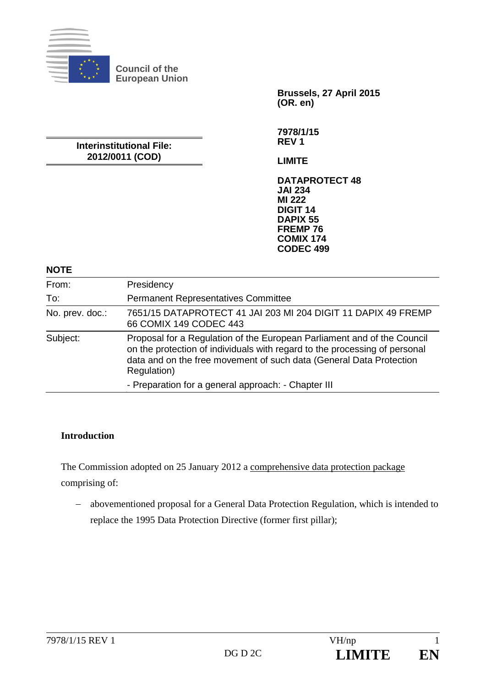

**Council of the European Union** 

> **Brussels, 27 April 2015 (OR. en)**

**Interinstitutional File: 2012/0011 (COD)** 

**7978/1/15 REV 1** 

**LIMITE** 

**DATAPROTECT 48 JAI 234 MI 222 DIGIT 14 DAPIX 55 FREMP 76 COMIX 174 CODEC 499**

#### **NOTE**

| From:           | Presidency                                                                                                                                                                                                                                  |
|-----------------|---------------------------------------------------------------------------------------------------------------------------------------------------------------------------------------------------------------------------------------------|
| To:             | <b>Permanent Representatives Committee</b>                                                                                                                                                                                                  |
| No. prev. doc.: | 7651/15 DATAPROTECT 41 JAI 203 MI 204 DIGIT 11 DAPIX 49 FREMP<br>66 COMIX 149 CODEC 443                                                                                                                                                     |
| Subject:        | Proposal for a Regulation of the European Parliament and of the Council<br>on the protection of individuals with regard to the processing of personal<br>data and on the free movement of such data (General Data Protection<br>Regulation) |
|                 | - Preparation for a general approach: - Chapter III                                                                                                                                                                                         |

#### **Introduction**

The Commission adopted on 25 January 2012 a comprehensive data protection package comprising of:

 abovementioned proposal for a General Data Protection Regulation, which is intended to replace the 1995 Data Protection Directive (former first pillar);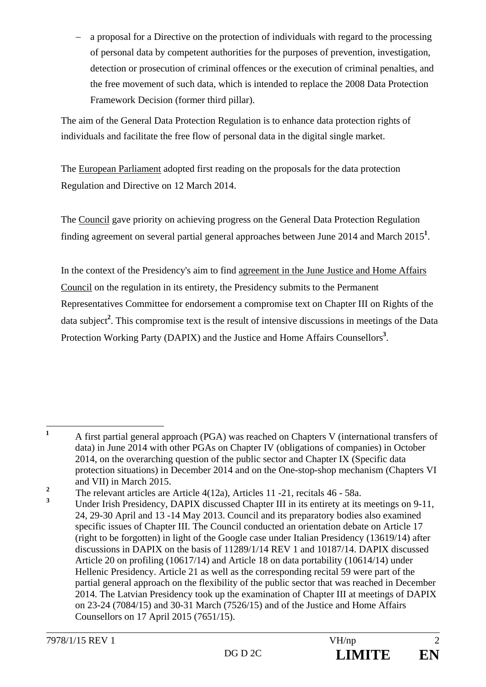a proposal for a Directive on the protection of individuals with regard to the processing of personal data by competent authorities for the purposes of prevention, investigation, detection or prosecution of criminal offences or the execution of criminal penalties, and the free movement of such data, which is intended to replace the 2008 Data Protection Framework Decision (former third pillar).

The aim of the General Data Protection Regulation is to enhance data protection rights of individuals and facilitate the free flow of personal data in the digital single market.

The European Parliament adopted first reading on the proposals for the data protection Regulation and Directive on 12 March 2014.

The Council gave priority on achieving progress on the General Data Protection Regulation finding agreement on several partial general approaches between June 2014 and March 2015**<sup>1</sup>** .

In the context of the Presidency's aim to find agreement in the June Justice and Home Affairs Council on the regulation in its entirety, the Presidency submits to the Permanent Representatives Committee for endorsement a compromise text on Chapter III on Rights of the data subject**<sup>2</sup>** . This compromise text is the result of intensive discussions in meetings of the Data Protection Working Party (DAPIX) and the Justice and Home Affairs Counsellors<sup>3</sup>.

 **1** A first partial general approach (PGA) was reached on Chapters V (international transfers of data) in June 2014 with other PGAs on Chapter IV (obligations of companies) in October 2014, on the overarching question of the public sector and Chapter IX (Specific data protection situations) in December 2014 and on the One-stop-shop mechanism (Chapters VI and VII) in March 2015.

**<sup>2</sup>** The relevant articles are Article 4(12a), Articles 11 -21, recitals 46 - 58a.

**<sup>3</sup>** Under Irish Presidency, DAPIX discussed Chapter III in its entirety at its meetings on 9-11, 24, 29-30 April and 13 -14 May 2013. Council and its preparatory bodies also examined specific issues of Chapter III. The Council conducted an orientation debate on Article 17 (right to be forgotten) in light of the Google case under Italian Presidency (13619/14) after discussions in DAPIX on the basis of 11289/1/14 REV 1 and 10187/14. DAPIX discussed Article 20 on profiling (10617/14) and Article 18 on data portability (10614/14) under Hellenic Presidency. Article 21 as well as the corresponding recital 59 were part of the partial general approach on the flexibility of the public sector that was reached in December 2014. The Latvian Presidency took up the examination of Chapter III at meetings of DAPIX on 23-24 (7084/15) and 30-31 March (7526/15) and of the Justice and Home Affairs Counsellors on 17 April 2015 (7651/15).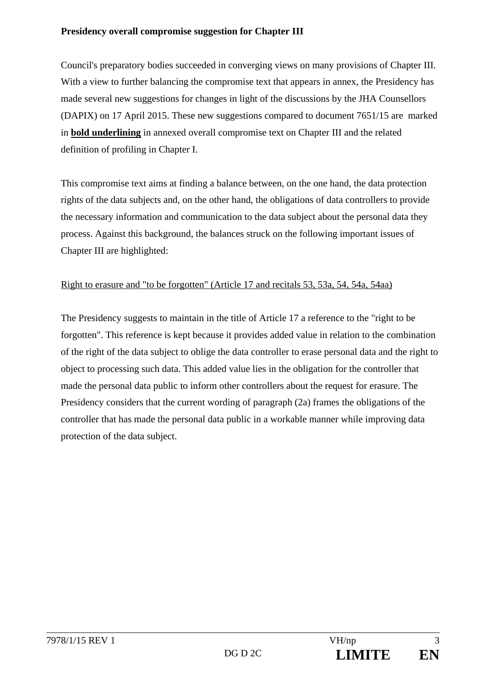#### **Presidency overall compromise suggestion for Chapter III**

Council's preparatory bodies succeeded in converging views on many provisions of Chapter III. With a view to further balancing the compromise text that appears in annex, the Presidency has made several new suggestions for changes in light of the discussions by the JHA Counsellors (DAPIX) on 17 April 2015. These new suggestions compared to document 7651/15 are marked in **bold underlining** in annexed overall compromise text on Chapter III and the related definition of profiling in Chapter I.

This compromise text aims at finding a balance between, on the one hand, the data protection rights of the data subjects and, on the other hand, the obligations of data controllers to provide the necessary information and communication to the data subject about the personal data they process. Against this background, the balances struck on the following important issues of Chapter III are highlighted:

#### Right to erasure and "to be forgotten" (Article 17 and recitals 53, 53a, 54, 54a, 54aa)

The Presidency suggests to maintain in the title of Article 17 a reference to the "right to be forgotten". This reference is kept because it provides added value in relation to the combination of the right of the data subject to oblige the data controller to erase personal data and the right to object to processing such data. This added value lies in the obligation for the controller that made the personal data public to inform other controllers about the request for erasure. The Presidency considers that the current wording of paragraph (2a) frames the obligations of the controller that has made the personal data public in a workable manner while improving data protection of the data subject.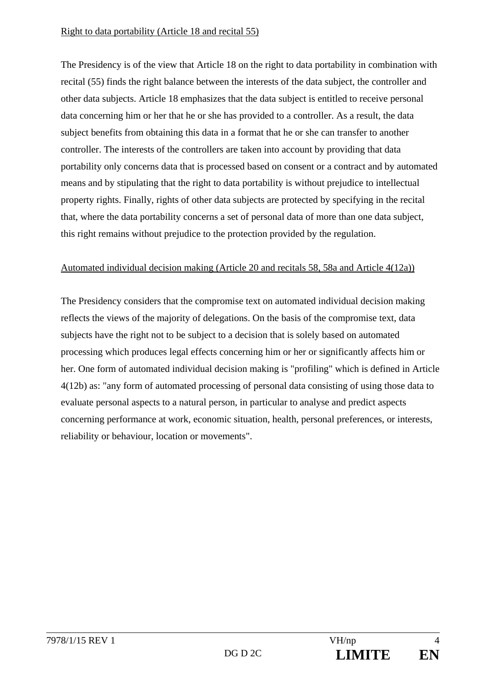The Presidency is of the view that Article 18 on the right to data portability in combination with recital (55) finds the right balance between the interests of the data subject, the controller and other data subjects. Article 18 emphasizes that the data subject is entitled to receive personal data concerning him or her that he or she has provided to a controller. As a result, the data subject benefits from obtaining this data in a format that he or she can transfer to another controller. The interests of the controllers are taken into account by providing that data portability only concerns data that is processed based on consent or a contract and by automated means and by stipulating that the right to data portability is without prejudice to intellectual property rights. Finally, rights of other data subjects are protected by specifying in the recital that, where the data portability concerns a set of personal data of more than one data subject, this right remains without prejudice to the protection provided by the regulation.

#### Automated individual decision making (Article 20 and recitals 58, 58a and Article 4(12a))

The Presidency considers that the compromise text on automated individual decision making reflects the views of the majority of delegations. On the basis of the compromise text, data subjects have the right not to be subject to a decision that is solely based on automated processing which produces legal effects concerning him or her or significantly affects him or her. One form of automated individual decision making is "profiling" which is defined in Article 4(12b) as: "any form of automated processing of personal data consisting of using those data to evaluate personal aspects to a natural person, in particular to analyse and predict aspects concerning performance at work, economic situation, health, personal preferences, or interests, reliability or behaviour, location or movements".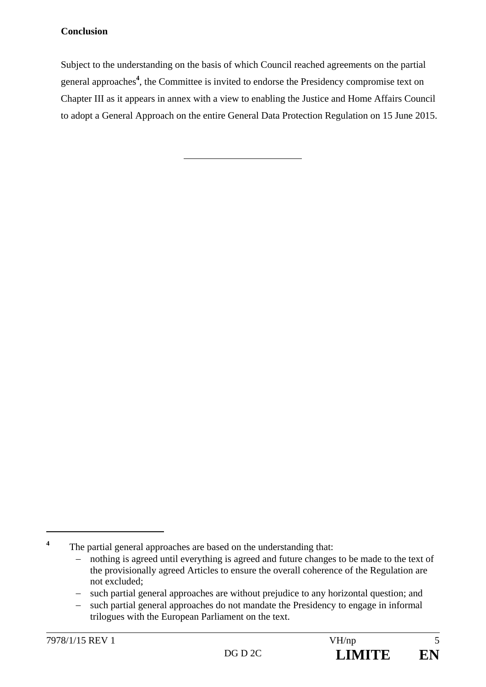#### **Conclusion**

Subject to the understanding on the basis of which Council reached agreements on the partial general approaches**<sup>4</sup>** , the Committee is invited to endorse the Presidency compromise text on Chapter III as it appears in annex with a view to enabling the Justice and Home Affairs Council to adopt a General Approach on the entire General Data Protection Regulation on 15 June 2015.

 $\overline{a}$ 

**<sup>4</sup>** The partial general approaches are based on the understanding that:

nothing is agreed until everything is agreed and future changes to be made to the text of the provisionally agreed Articles to ensure the overall coherence of the Regulation are not excluded;

<sup>-</sup> such partial general approaches are without prejudice to any horizontal question; and

such partial general approaches do not mandate the Presidency to engage in informal trilogues with the European Parliament on the text.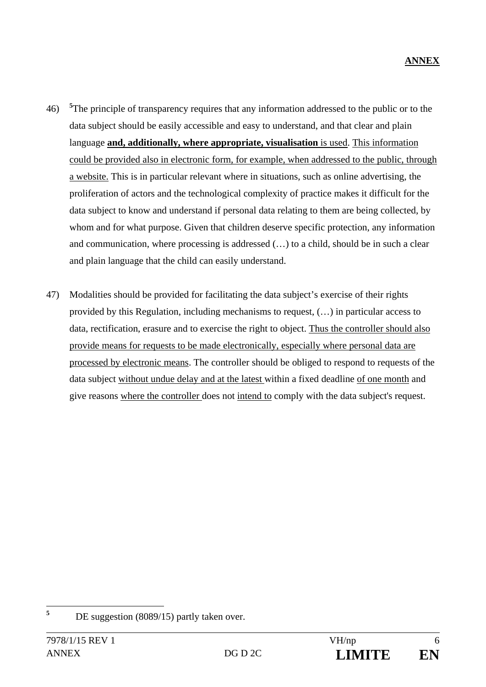- 46) **<sup>5</sup>** <sup>5</sup>The principle of transparency requires that any information addressed to the public or to the data subject should be easily accessible and easy to understand, and that clear and plain language **and, additionally, where appropriate, visualisation** is used. This information could be provided also in electronic form, for example, when addressed to the public, through a website. This is in particular relevant where in situations, such as online advertising, the proliferation of actors and the technological complexity of practice makes it difficult for the data subject to know and understand if personal data relating to them are being collected, by whom and for what purpose. Given that children deserve specific protection, any information and communication, where processing is addressed (…) to a child, should be in such a clear and plain language that the child can easily understand.
- 47) Modalities should be provided for facilitating the data subject's exercise of their rights provided by this Regulation, including mechanisms to request, (…) in particular access to data, rectification, erasure and to exercise the right to object. Thus the controller should also provide means for requests to be made electronically, especially where personal data are processed by electronic means. The controller should be obliged to respond to requests of the data subject without undue delay and at the latest within a fixed deadline of one month and give reasons where the controller does not intend to comply with the data subject's request.

 **5** DE suggestion (8089/15) partly taken over.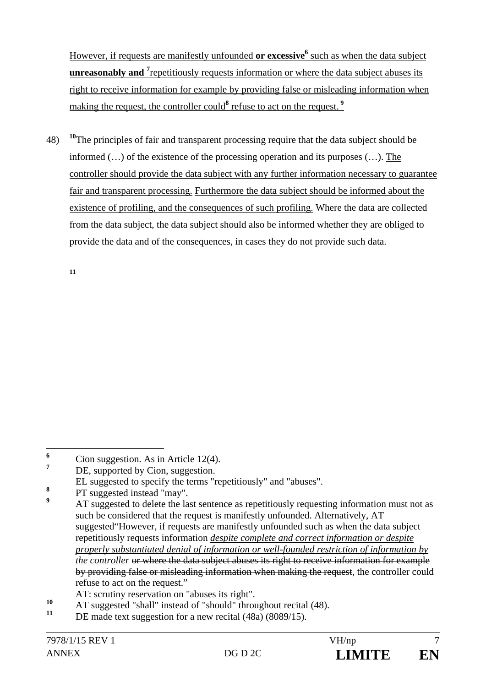However, if requests are manifestly unfounded **or excessive**<sup>6</sup> such as when the data subject **unreasonably and** <sup>7</sup> repetitiously requests information or where the data subject abuses its right to receive information for example by providing false or misleading information when making the request, the controller could<sup>8</sup> refuse to act on the request.<sup>9</sup>

48) **<sup>10</sup>**The principles of fair and transparent processing require that the data subject should be informed (…) of the existence of the processing operation and its purposes (…). The controller should provide the data subject with any further information necessary to guarantee fair and transparent processing. Furthermore the data subject should be informed about the existence of profiling, and the consequences of such profiling. Where the data are collected from the data subject, the data subject should also be informed whether they are obliged to provide the data and of the consequences, in cases they do not provide such data.

**11**

 **6** Cion suggestion. As in Article 12(4).

**<sup>7</sup>** DE, supported by Cion, suggestion.

EL suggested to specify the terms "repetitiously" and "abuses".

**<sup>8</sup>** PT suggested instead "may".

**<sup>9</sup>** AT suggested to delete the last sentence as repetitiously requesting information must not as such be considered that the request is manifestly unfounded. Alternatively, AT suggested"However, if requests are manifestly unfounded such as when the data subject repetitiously requests information *despite complete and correct information or despite properly substantiated denial of information or well-founded restriction of information by the controller* or where the data subject abuses its right to receive information for example by providing false or misleading information when making the request, the controller could refuse to act on the request."

AT: scrutiny reservation on "abuses its right".

<sup>&</sup>lt;sup>10</sup> AT suggested "shall" instead of "should" throughout recital (48).

DE made text suggestion for a new recital (48a) (8089/15).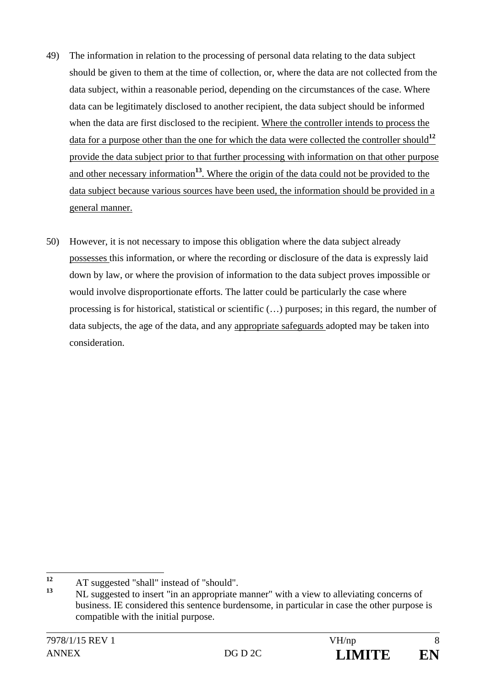- 49) The information in relation to the processing of personal data relating to the data subject should be given to them at the time of collection, or, where the data are not collected from the data subject, within a reasonable period, depending on the circumstances of the case. Where data can be legitimately disclosed to another recipient, the data subject should be informed when the data are first disclosed to the recipient. Where the controller intends to process the data for a purpose other than the one for which the data were collected the controller should**<sup>12</sup>** provide the data subject prior to that further processing with information on that other purpose and other necessary information**<sup>13</sup>**. Where the origin of the data could not be provided to the data subject because various sources have been used, the information should be provided in a general manner.
- 50) However, it is not necessary to impose this obligation where the data subject already possesses this information, or where the recording or disclosure of the data is expressly laid down by law, or where the provision of information to the data subject proves impossible or would involve disproportionate efforts. The latter could be particularly the case where processing is for historical, statistical or scientific (…) purposes; in this regard, the number of data subjects, the age of the data, and any appropriate safeguards adopted may be taken into consideration.

 $12$ <sup>12</sup> AT suggested "shall" instead of "should".

**<sup>13</sup>** NL suggested to insert "in an appropriate manner" with a view to alleviating concerns of business. IE considered this sentence burdensome, in particular in case the other purpose is compatible with the initial purpose.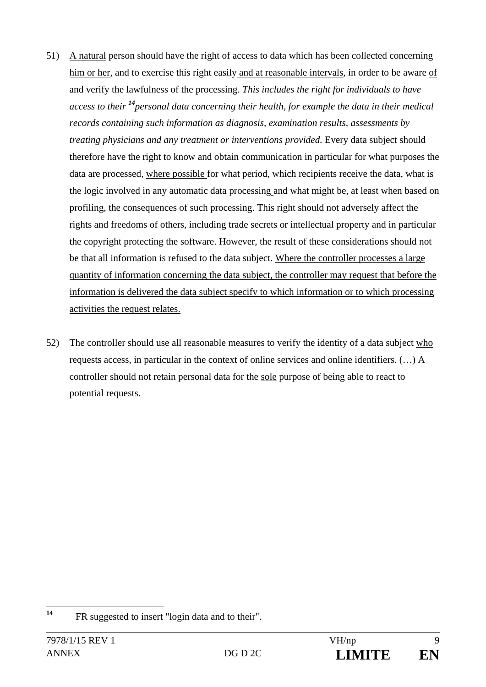- 51) A natural person should have the right of access to data which has been collected concerning him or her, and to exercise this right easily and at reasonable intervals, in order to be aware of and verify the lawfulness of the processing. *This includes the right for individuals to have access to their <sup>14</sup>personal data concerning their health, for example the data in their medical records containing such information as diagnosis, examination results, assessments by treating physicians and any treatment or interventions provided.* Every data subject should therefore have the right to know and obtain communication in particular for what purposes the data are processed, where possible for what period, which recipients receive the data, what is the logic involved in any automatic data processing and what might be, at least when based on profiling, the consequences of such processing. This right should not adversely affect the rights and freedoms of others, including trade secrets or intellectual property and in particular the copyright protecting the software. However, the result of these considerations should not be that all information is refused to the data subject. Where the controller processes a large quantity of information concerning the data subject, the controller may request that before the information is delivered the data subject specify to which information or to which processing activities the request relates.
- 52) The controller should use all reasonable measures to verify the identity of a data subject who requests access, in particular in the context of online services and online identifiers. (…) A controller should not retain personal data for the sole purpose of being able to react to potential requests.

 $14$ **<sup>14</sup>** FR suggested to insert "login data and to their".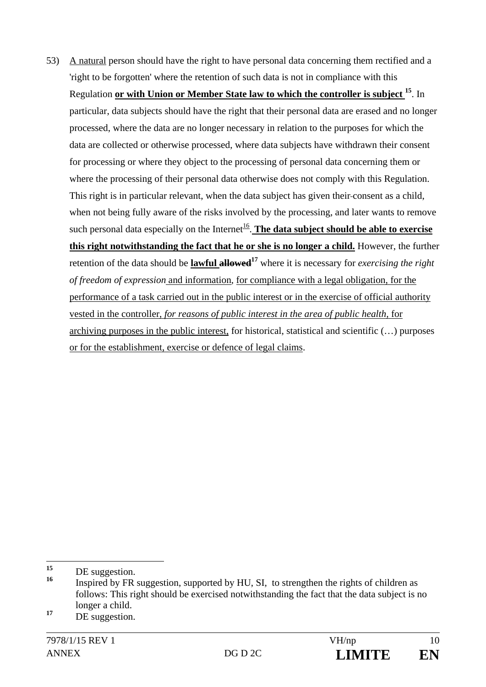53) A natural person should have the right to have personal data concerning them rectified and a 'right to be forgotten' where the retention of such data is not in compliance with this Regulation **or with Union or Member State law to which the controller is subject 15**. In particular, data subjects should have the right that their personal data are erased and no longer processed, where the data are no longer necessary in relation to the purposes for which the data are collected or otherwise processed, where data subjects have withdrawn their consent for processing or where they object to the processing of personal data concerning them or where the processing of their personal data otherwise does not comply with this Regulation. This right is in particular relevant, when the data subject has given their consent as a child, when not being fully aware of the risks involved by the processing, and later wants to remove such personal data especially on the Internet<sup>16</sup>. **The data subject should be able to exercise this right notwithstanding the fact that he or she is no longer a child.** However, the further retention of the data should be **lawful allowed**<sup>17</sup> where it is necessary for *exercising the right of freedom of expression* and information*,* for compliance with a legal obligation, for the performance of a task carried out in the public interest or in the exercise of official authority vested in the controller, *for reasons of public interest in the area of public health,* for archiving purposes in the public interest, for historical, statistical and scientific (…) purposes or for the establishment, exercise or defence of legal claims.

 $15$  $\frac{15}{16}$  DE suggestion.

**<sup>16</sup>** Inspired by FR suggestion, supported by HU, SI, to strengthen the rights of children as follows: This right should be exercised notwithstanding the fact that the data subject is no longer a child.

<sup>&</sup>lt;sup>17</sup> DE suggestion.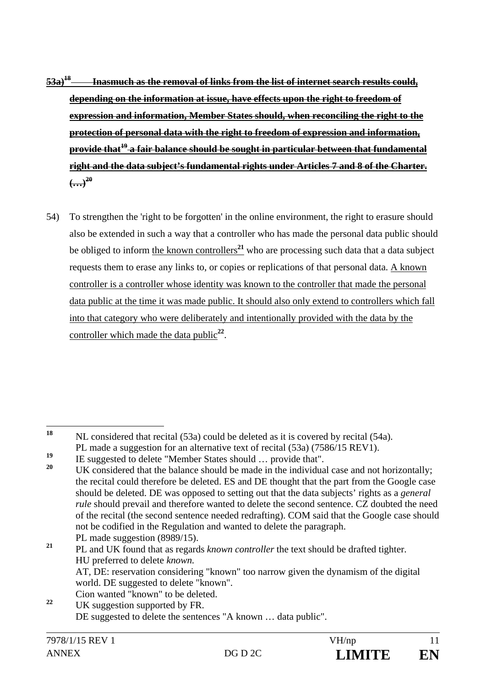- **53a)18 Inasmuch as the removal of links from the list of internet search results could, depending on the information at issue, have effects upon the right to freedom of expression and information, Member States should, when reconciling the right to the protection of personal data with the right to freedom of expression and information, provide that19 a fair balance should be sought in particular between that fundamental right and the data subject's fundamental rights under Articles 7 and 8 of the Charter.**   $\left( \frac{1}{2} \right)^{20}$
- 54) To strengthen the 'right to be forgotten' in the online environment, the right to erasure should also be extended in such a way that a controller who has made the personal data public should be obliged to inform the known controllers<sup>21</sup> who are processing such data that a data subject requests them to erase any links to, or copies or replications of that personal data. A known controller is a controller whose identity was known to the controller that made the personal data public at the time it was made public. It should also only extend to controllers which fall into that category who were deliberately and intentionally provided with the data by the controller which made the data public<sup>22</sup>.

PL made suggestion  $(8989/15)$ . **<sup>21</sup>** PL and UK found that as regards *known controller* the text should be drafted tighter. HU preferred to delete *known.*  AT, DE: reservation considering "known" too narrow given the dynamism of the digital world. DE suggested to delete "known".

<sup>18</sup> **<sup>18</sup>** NL considered that recital (53a) could be deleted as it is covered by recital (54a). PL made a suggestion for an alternative text of recital (53a) (7586/15 REV1).

<sup>&</sup>lt;sup>19</sup> IE suggested to delete "Member States should  $\ldots$  provide that".

**<sup>20</sup>** UK considered that the balance should be made in the individual case and not horizontally; the recital could therefore be deleted. ES and DE thought that the part from the Google case should be deleted. DE was opposed to setting out that the data subjects' rights as a *general rule* should prevail and therefore wanted to delete the second sentence. CZ doubted the need of the recital (the second sentence needed redrafting). COM said that the Google case should not be codified in the Regulation and wanted to delete the paragraph.

Cion wanted "known" to be deleted. **<sup>22</sup>** UK suggestion supported by FR. DE suggested to delete the sentences "A known … data public".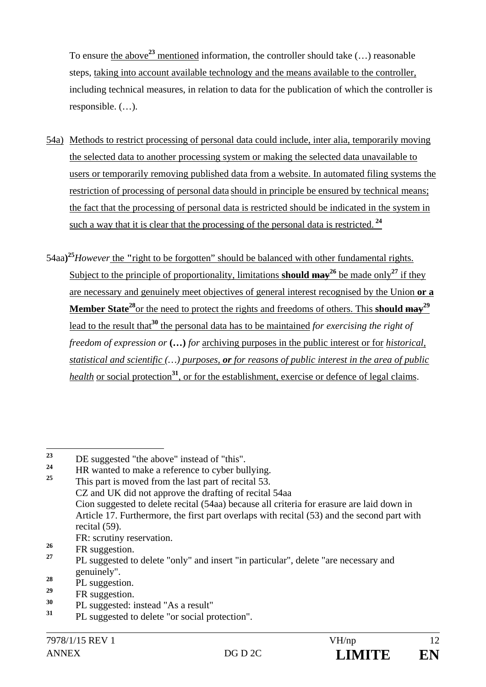To ensure the above**<sup>23</sup>** mentioned information, the controller should take (…) reasonable steps, taking into account available technology and the means available to the controller, including technical measures, in relation to data for the publication of which the controller is responsible. (…).

- 54a) Methods to restrict processing of personal data could include, inter alia, temporarily moving the selected data to another processing system or making the selected data unavailable to users or temporarily removing published data from a website. In automated filing systems the restriction of processing of personal data should in principle be ensured by technical means; the fact that the processing of personal data is restricted should be indicated in the system in such a way that it is clear that the processing of the personal data is restricted.**<sup>24</sup>**
- 54aa**) <sup>25</sup>***However* the **"**right to be forgotten" should be balanced with other fundamental rights. Subject to the principle of proportionality, limitations **should may**<sup>26</sup> be made only<sup>27</sup> if they are necessary and genuinely meet objectives of general interest recognised by the Union **or a**  Member State<sup>28</sup>or the need to protect the rights and freedoms of others. This should may<sup>29</sup> lead to the result that<sup>30</sup> the personal data has to be maintained *for exercising the right of freedom of expression or* **(…)** *for* archiving purposes in the public interest or for *historical, statistical and scientific (…) purposes, or for reasons of public interest in the area of public health* or social protection<sup>31</sup>, or for the establishment, exercise or defence of legal claims.

 $23$ <sup>23</sup> DE suggested "the above" instead of "this".

<sup>&</sup>lt;sup>24</sup> HR wanted to make a reference to cyber bullying. **<sup>25</sup>** This part is moved from the last part of recital 53. CZ and UK did not approve the drafting of recital 54aa Cion suggested to delete recital (54aa) because all criteria for erasure are laid down in Article 17. Furthermore, the first part overlaps with recital (53) and the second part with recital (59).

FR: scrutiny reservation.

 $\frac{26}{27}$  FR suggestion.

**<sup>27</sup>** PL suggested to delete "only" and insert "in particular", delete "are necessary and genuinely".

 $\frac{28}{29}$  PL suggestion.

 $\frac{29}{30}$  FR suggestion.

**<sup>30</sup>** PL suggested: instead "As a result"

**<sup>31</sup>** PL suggested to delete "or social protection".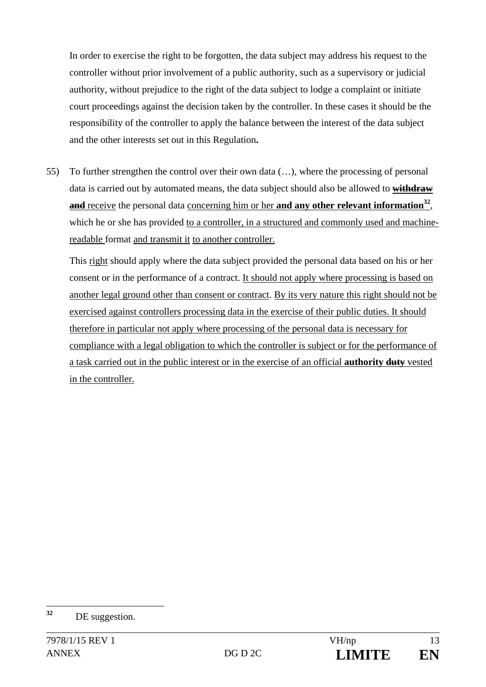In order to exercise the right to be forgotten, the data subject may address his request to the controller without prior involvement of a public authority, such as a supervisory or judicial authority, without prejudice to the right of the data subject to lodge a complaint or initiate court proceedings against the decision taken by the controller. In these cases it should be the responsibility of the controller to apply the balance between the interest of the data subject and the other interests set out in this Regulation**.**

55) To further strengthen the control over their own data (…), where the processing of personal data is carried out by automated means, the data subject should also be allowed to **withdraw**  and receive the personal data concerning him or her and any other relevant information<sup>32</sup>, which he or she has provided to a controller, in a structured and commonly used and machinereadable format and transmit it to another controller.

This right should apply where the data subject provided the personal data based on his or her consent or in the performance of a contract. It should not apply where processing is based on another legal ground other than consent or contract. By its very nature this right should not be exercised against controllers processing data in the exercise of their public duties. It should therefore in particular not apply where processing of the personal data is necessary for compliance with a legal obligation to which the controller is subject or for the performance of a task carried out in the public interest or in the exercise of an official **authority duty** vested in the controller.

 $32$ **<sup>32</sup>** DE suggestion.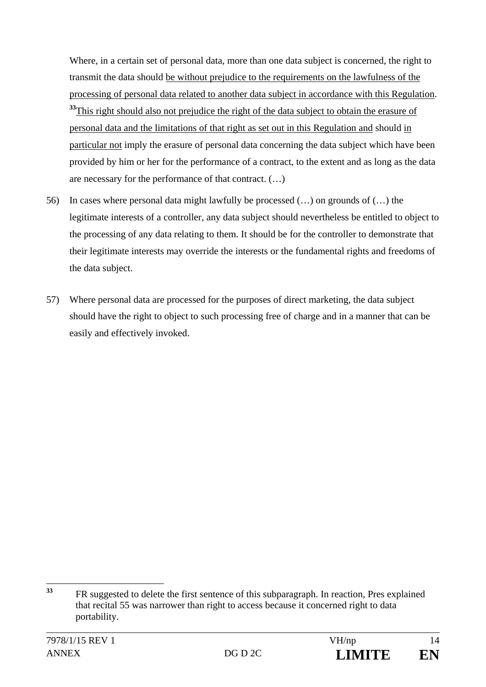Where, in a certain set of personal data, more than one data subject is concerned, the right to transmit the data should be without prejudice to the requirements on the lawfulness of the processing of personal data related to another data subject in accordance with this Regulation. <sup>33</sup>This right should also not prejudice the right of the data subject to obtain the erasure of personal data and the limitations of that right as set out in this Regulation and should in particular not imply the erasure of personal data concerning the data subject which have been provided by him or her for the performance of a contract, to the extent and as long as the data are necessary for the performance of that contract. (…)

- 56) In cases where personal data might lawfully be processed (…) on grounds of (…) the legitimate interests of a controller, any data subject should nevertheless be entitled to object to the processing of any data relating to them. It should be for the controller to demonstrate that their legitimate interests may override the interests or the fundamental rights and freedoms of the data subject.
- 57) Where personal data are processed for the purposes of direct marketing, the data subject should have the right to object to such processing free of charge and in a manner that can be easily and effectively invoked.

<sup>33</sup> **<sup>33</sup>** FR suggested to delete the first sentence of this subparagraph. In reaction, Pres explained that recital 55 was narrower than right to access because it concerned right to data portability.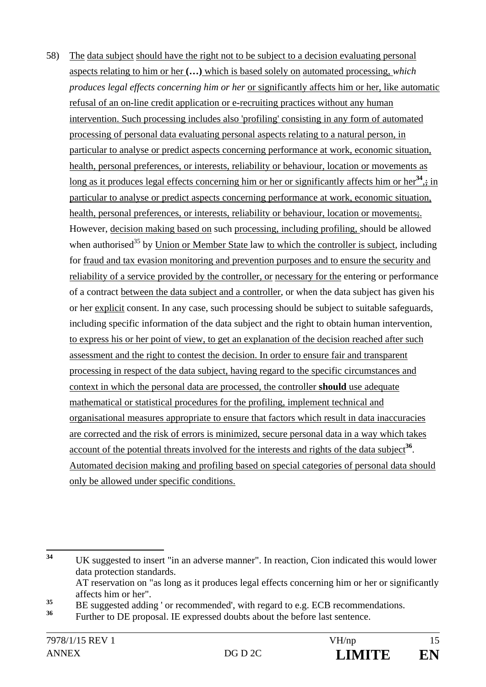58) The data subject should have the right not to be subject to a decision evaluating personal aspects relating to him or her **(…)** which is based solely on automated processing, *which produces legal effects concerning him or her* or significantly affects him or her, like automatic refusal of an on-line credit application or e-recruiting practices without any human intervention. Such processing includes also 'profiling' consisting in any form of automated processing of personal data evaluating personal aspects relating to a natural person, in particular to analyse or predict aspects concerning performance at work, economic situation, health, personal preferences, or interests, reliability or behaviour, location or movements as long as it produces legal effects concerning him or her or significantly affects him or her<sup>34</sup>,; in particular to analyse or predict aspects concerning performance at work, economic situation, health, personal preferences, or interests, reliability or behaviour, location or movements. However, decision making based on such processing, including profiling, should be allowed when authorised<sup>35</sup> by Union or Member State law to which the controller is subject, including for fraud and tax evasion monitoring and prevention purposes and to ensure the security and reliability of a service provided by the controller, or necessary for the entering or performance of a contract between the data subject and a controller, or when the data subject has given his or her explicit consent. In any case, such processing should be subject to suitable safeguards, including specific information of the data subject and the right to obtain human intervention, to express his or her point of view, to get an explanation of the decision reached after such assessment and the right to contest the decision. In order to ensure fair and transparent processing in respect of the data subject, having regard to the specific circumstances and context in which the personal data are processed, the controller **should** use adequate mathematical or statistical procedures for the profiling, implement technical and organisational measures appropriate to ensure that factors which result in data inaccuracies are corrected and the risk of errors is minimized, secure personal data in a way which takes account of the potential threats involved for the interests and rights of the data subject<sup>36</sup>. Automated decision making and profiling based on special categories of personal data should only be allowed under specific conditions.

 $34$ UK suggested to insert "in an adverse manner". In reaction, Cion indicated this would lower data protection standards. AT reservation on "as long as it produces legal effects concerning him or her or significantly affects him or her".

<sup>&</sup>lt;sup>35</sup> BE suggested adding ' or recommended', with regard to e.g. ECB recommendations.

**<sup>36</sup>** Further to DE proposal. IE expressed doubts about the before last sentence.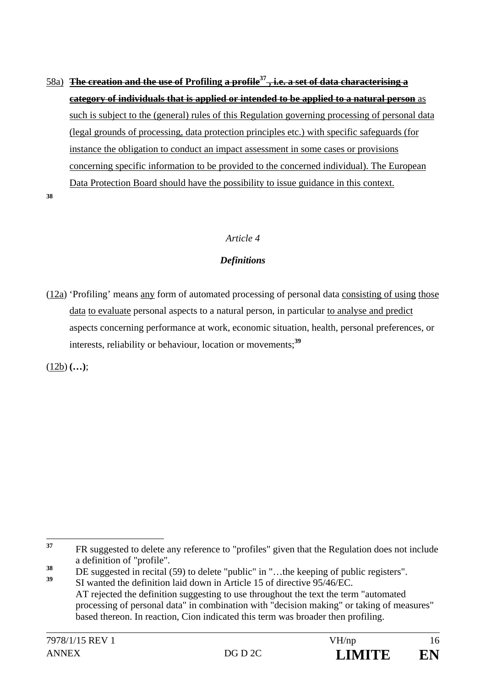58a) **The creation and the use of Profiling a profile37 , i.e. a set of data characterising a category of individuals that is applied or intended to be applied to a natural person** as such is subject to the (general) rules of this Regulation governing processing of personal data (legal grounds of processing, data protection principles etc.) with specific safeguards (for instance the obligation to conduct an impact assessment in some cases or provisions concerning specific information to be provided to the concerned individual). The European Data Protection Board should have the possibility to issue guidance in this context.

**38**

#### *Article 4*

#### *Definitions*

 $(12a)$  'Profiling' means any form of automated processing of personal data consisting of using those data to evaluate personal aspects to a natural person, in particular to analyse and predict aspects concerning performance at work, economic situation, health, personal preferences, or interests, reliability or behaviour, location or movements;**<sup>39</sup>**

(12b) **(…)**;

<sup>37</sup> **<sup>37</sup>** FR suggested to delete any reference to "profiles" given that the Regulation does not include a definition of "profile".

 $\frac{38}{39}$  DE suggested in recital (59) to delete "public" in "...the keeping of public registers".

**<sup>39</sup>** SI wanted the definition laid down in Article 15 of directive 95/46/EC. AT rejected the definition suggesting to use throughout the text the term "automated processing of personal data" in combination with "decision making" or taking of measures" based thereon. In reaction, Cion indicated this term was broader then profiling.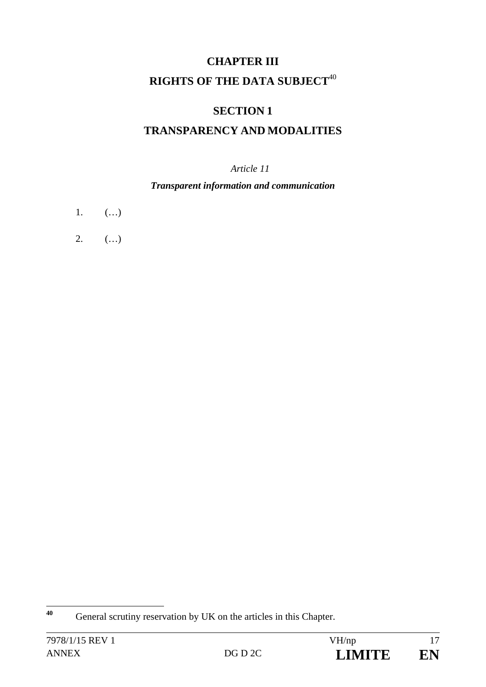# **CHAPTER III RIGHTS OF THE DATA SUBJECT**<sup>40</sup>

# **SECTION 1**

# **TRANSPARENCY AND MODALITIES**

### *Article 11*

#### *Transparent information and communication*

- 1.  $(...)$
- 2.  $(...)$

 $40$ General scrutiny reservation by UK on the articles in this Chapter.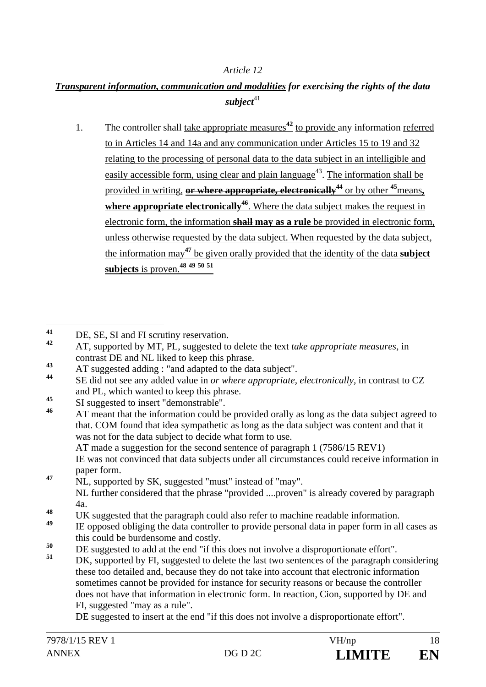#### *Article 12*

### *Transparent information, communication and modalities for exercising the rights of the data*  subject<sup>41</sup>

1. The controller shall take appropriate measures**<sup>42</sup>** to provide any information referred to in Articles 14 and 14a and any communication under Articles 15 to 19 and 32 relating to the processing of personal data to the data subject in an intelligible and easily accessible form, using clear and plain language<sup> $43$ </sup>. The information shall be provided in writing, **or where appropriate, electronically44** or by other **<sup>45</sup>**means**,**  where appropriate electronically<sup>46</sup>. Where the data subject makes the request in electronic form, the information **shall may as a rule** be provided in electronic form, unless otherwise requested by the data subject. When requested by the data subject, the information may**<sup>47</sup>** be given orally provided that the identity of the data **subject subjects** is proven*.* **48 49 50 51**

 IE was not convinced that data subjects under all circumstances could receive information in paper form.

**<sup>47</sup>** NL, supported by SK, suggested "must" instead of "may". NL further considered that the phrase "provided ....proven" is already covered by paragraph 4a.

- 
- <sup>48</sup> UK suggested that the paragraph could also refer to machine readable information.
- **<sup>49</sup>** IE opposed obliging the data controller to provide personal data in paper form in all cases as this could be burdensome and costly.
- <sup>50</sup> DE suggested to add at the end "if this does not involve a disproportionate effort".
- **<sup>51</sup>** DK, supported by FI, suggested to delete the last two sentences of the paragraph considering these too detailed and, because they do not take into account that electronic information sometimes cannot be provided for instance for security reasons or because the controller does not have that information in electronic form. In reaction, Cion, supported by DE and FI, suggested "may as a rule".

DE suggested to insert at the end "if this does not involve a disproportionate effort".

<sup>41</sup> <sup>41</sup> DE, SE, SI and FI scrutiny reservation.

**<sup>42</sup>** AT, supported by MT, PL, suggested to delete the text *take appropriate measures,* in contrast DE and NL liked to keep this phrase.

**<sup>43</sup>** AT suggested adding : "and adapted to the data subject".

**<sup>44</sup>** SE did not see any added value in *or where appropriate, electronically,* in contrast to CZ and PL, which wanted to keep this phrase.

<sup>45</sup> SI suggested to insert "demonstrable".

**<sup>46</sup>** AT meant that the information could be provided orally as long as the data subject agreed to that. COM found that idea sympathetic as long as the data subject was content and that it was not for the data subject to decide what form to use. AT made a suggestion for the second sentence of paragraph 1 (7586/15 REV1)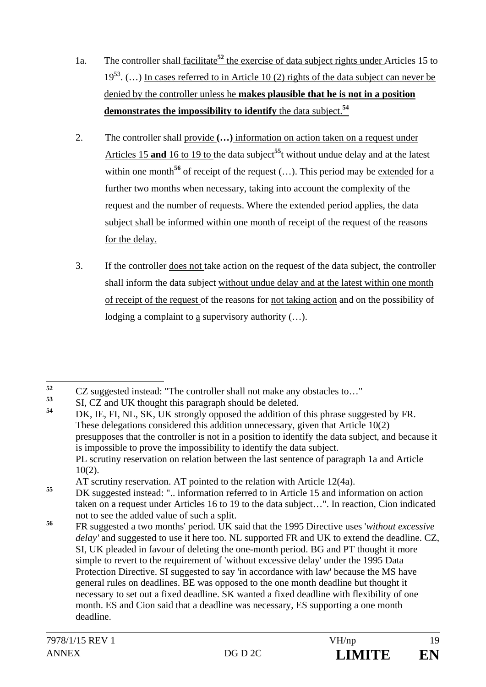- 1a. The controller shall facilitate**<sup>52</sup>** the exercise of data subject rights under Articles 15 to  $19^{53}$ . (...) In cases referred to in Article 10 (2) rights of the data subject can never be denied by the controller unless he **makes plausible that he is not in a position demonstrates the impossibility to identify** the data subject.**<sup>54</sup>**
- 2. The controller shall provide **(…)** information on action taken on a request under Articles 15 **and** 16 to 19 to the data subject<sup>55</sup>t without undue delay and at the latest within one month<sup>56</sup> of receipt of the request  $(...)$ . This period may be extended for a further two months when necessary, taking into account the complexity of the request and the number of requests. Where the extended period applies, the data subject shall be informed within one month of receipt of the request of the reasons for the delay.
- 3. If the controller does not take action on the request of the data subject, the controller shall inform the data subject without undue delay and at the latest within one month of receipt of the request of the reasons for not taking action and on the possibility of lodging a complaint to a supervisory authority (…).

AT scrutiny reservation. AT pointed to the relation with Article  $12(4a)$ .<br>
N' suggested instead: " information reformed to in Article 15 and information

 $52$ <sup>52</sup> CZ suggested instead: "The controller shall not make any obstacles to..."

 $53$  SI, CZ and UK thought this paragraph should be deleted.

DK, IE, FI, NL, SK, UK strongly opposed the addition of this phrase suggested by FR. These delegations considered this addition unnecessary, given that Article 10(2) presupposes that the controller is not in a position to identify the data subject, and because it is impossible to prove the impossibility to identify the data subject. PL scrutiny reservation on relation between the last sentence of paragraph 1a and Article 10(2).

DK suggested instead: ".. information referred to in Article 15 and information on action taken on a request under Articles 16 to 19 to the data subject…". In reaction, Cion indicated not to see the added value of such a split.

**<sup>56</sup>** FR suggested a two months' period. UK said that the 1995 Directive uses '*without excessive delay'* and suggested to use it here too*.* NL supported FR and UK to extend the deadline. CZ, SI, UK pleaded in favour of deleting the one-month period. BG and PT thought it more simple to revert to the requirement of 'without excessive delay' under the 1995 Data Protection Directive. SI suggested to say 'in accordance with law' because the MS have general rules on deadlines. BE was opposed to the one month deadline but thought it necessary to set out a fixed deadline. SK wanted a fixed deadline with flexibility of one month. ES and Cion said that a deadline was necessary, ES supporting a one month deadline.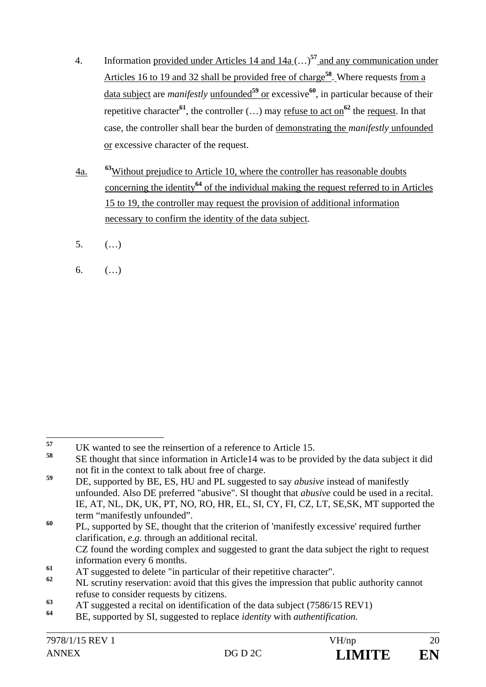- 4. Information provided under Articles 14 and 14a (…)**<sup>57</sup>** and any communication under Articles 16 to 19 and 32 shall be provided free of charge**<sup>58</sup>**. Where requests from a data subject are *manifestly* unfounded**<sup>59</sup>** or excessive**<sup>60</sup>**, in particular because of their repetitive character<sup>61</sup>, the controller  $(...)$  may refuse to act on<sup>62</sup> the request. In that case, the controller shall bear the burden of demonstrating the *manifestly* unfounded or excessive character of the request.
- 4a. **<sup>63</sup>**Without prejudice to Article 10, where the controller has reasonable doubts concerning the identity**<sup>64</sup>** of the individual making the request referred to in Articles 15 to 19, the controller may request the provision of additional information necessary to confirm the identity of the data subject.
- 5. (…)
- 6.  $($ ...)

<sup>57</sup> <sup>57</sup> UK wanted to see the reinsertion of a reference to Article 15.

**<sup>58</sup>** SE thought that since information in Article14 was to be provided by the data subject it did not fit in the context to talk about free of charge.

**<sup>59</sup>** DE, supported by BE, ES, HU and PL suggested to say *abusive* instead of manifestly unfounded. Also DE preferred "abusive". SI thought that *abusive* could be used in a recital. IE, AT, NL, DK, UK, PT, NO, RO, HR, EL, SI, CY, FI, CZ, LT, SE,SK, MT supported the term "manifestly unfounded".

<sup>&</sup>lt;sup>60</sup> PL, supported by SE, thought that the criterion of 'manifestly excessive' required further clarification, *e.g.* through an additional recital. CZ found the wording complex and suggested to grant the data subject the right to request information every 6 months.

**<sup>61</sup>** AT suggested to delete "in particular of their repetitive character".

**<sup>62</sup>** NL scrutiny reservation: avoid that this gives the impression that public authority cannot refuse to consider requests by citizens.

**<sup>63</sup>** AT suggested a recital on identification of the data subject (7586/15 REV1)

**<sup>64</sup>** BE, supported by SI, suggested to replace *identity* with *authentification.*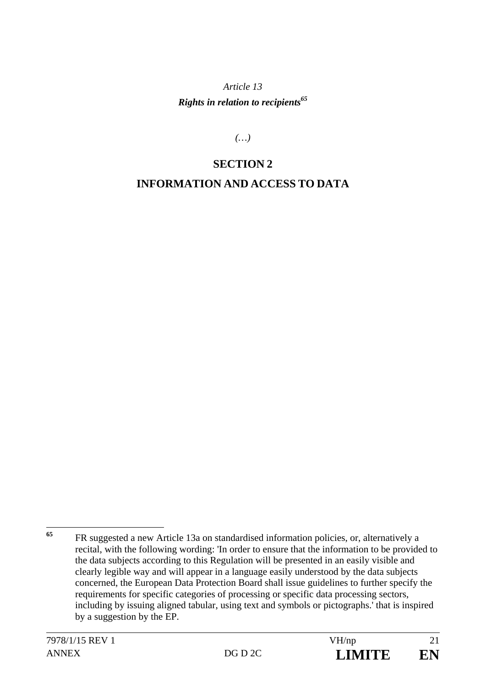*Article 13 Rights in relation to recipients*<sup>65</sup>

*(…)* 

# **SECTION 2 INFORMATION AND ACCESS TO DATA**

<sup>65</sup> FR suggested a new Article 13a on standardised information policies, or, alternatively a recital, with the following wording: 'In order to ensure that the information to be provided to the data subjects according to this Regulation will be presented in an easily visible and clearly legible way and will appear in a language easily understood by the data subjects concerned, the European Data Protection Board shall issue guidelines to further specify the requirements for specific categories of processing or specific data processing sectors, including by issuing aligned tabular, using text and symbols or pictographs.' that is inspired by a suggestion by the EP.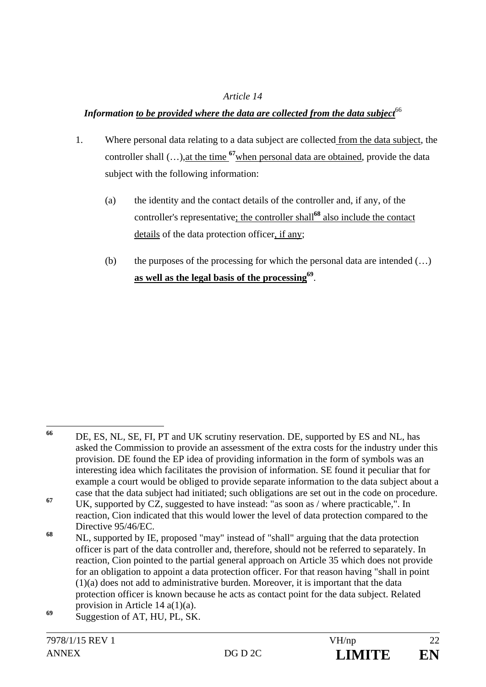#### *Article 14*

#### Information to be provided where the data are collected from the data subject<sup>66</sup>

- 1. Where personal data relating to a data subject are collected from the data subject, the controller shall (…),at the time **<sup>67</sup>**when personal data are obtained, provide the data subject with the following information:
	- (a) the identity and the contact details of the controller and, if any, of the controller's representative; the controller shall**<sup>68</sup>** also include the contact details of the data protection officer, if any;
	- (b) the purposes of the processing for which the personal data are intended  $(\ldots)$ **as well as the legal basis of the processing69**.

<sup>66</sup> DE, ES, NL, SE, FI, PT and UK scrutiny reservation. DE, supported by ES and NL, has asked the Commission to provide an assessment of the extra costs for the industry under this provision. DE found the EP idea of providing information in the form of symbols was an interesting idea which facilitates the provision of information. SE found it peculiar that for example a court would be obliged to provide separate information to the data subject about a case that the data subject had initiated; such obligations are set out in the code on procedure. **<sup>67</sup>** UK, supported by CZ, suggested to have instead: "as soon as / where practicable,". In

reaction, Cion indicated that this would lower the level of data protection compared to the Directive 95/46/EC.

**<sup>68</sup>** NL, supported by IE, proposed "may" instead of "shall" arguing that the data protection officer is part of the data controller and, therefore, should not be referred to separately. In reaction, Cion pointed to the partial general approach on Article 35 which does not provide for an obligation to appoint a data protection officer. For that reason having "shall in point (1)(a) does not add to administrative burden. Moreover, it is important that the data protection officer is known because he acts as contact point for the data subject. Related provision in Article 14 a(1)(a).

**<sup>69</sup>** Suggestion of AT, HU, PL, SK.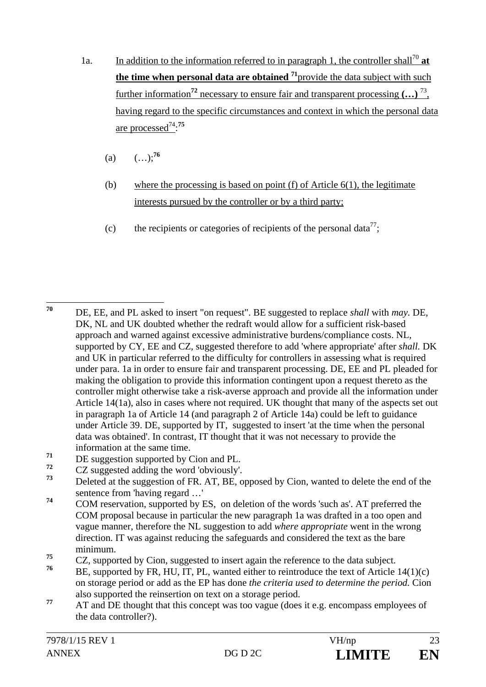- 1a. In addition to the information referred to in paragraph 1, the controller shall<sup>70</sup> at **the time when personal data are obtained** <sup>71</sup>provide the data subject with such further information**<sup>72</sup>** necessary to ensure fair and transparent processing **(…)** 73, having regard to the specific circumstances and context in which the personal data are processed74: **75**
	- (a)  $(\ldots)^{76}$
	- (b) where the processing is based on point (f) of Article  $6(1)$ , the legitimate interests pursued by the controller or by a third party;
	- (c) the recipients or categories of recipients of the personal data<sup>77</sup>;

- $71$  DE suggestion supported by Cion and PL.<br> $72$  CZ suggested adding the word labyiquely
- <sup>72</sup> CZ suggested adding the word 'obviously'.<br> $73$  Delated at the magnetic of  $\overline{FP}$ ,  $\overline{AP}$ ,  $\overline{PF}$

**<sup>74</sup>** COM reservation, supported by ES, on deletion of the words 'such as'. AT preferred the COM proposal because in particular the new paragraph 1a was drafted in a too open and vague manner, therefore the NL suggestion to add *where appropriate* went in the wrong direction. IT was against reducing the safeguards and considered the text as the bare minimum.

- **<sup>76</sup>** BE, supported by FR, HU, IT, PL, wanted either to reintroduce the text of Article 14(1)(c) on storage period or add as the EP has done *the criteria used to determine the period.* Cion also supported the reinsertion on text on a storage period.
- <sup>77</sup> AT and DE thought that this concept was too vague (does it e.g. encompass employees of the data controller?).

<sup>70</sup> **<sup>70</sup>** DE, EE, and PL asked to insert "on request". BE suggested to replace *shall* with *may.* DE, DK, NL and UK doubted whether the redraft would allow for a sufficient risk-based approach and warned against excessive administrative burdens/compliance costs. NL, supported by CY, EE and CZ, suggested therefore to add 'where appropriate' after *shall.* DK and UK in particular referred to the difficulty for controllers in assessing what is required under para. 1a in order to ensure fair and transparent processing. DE, EE and PL pleaded for making the obligation to provide this information contingent upon a request thereto as the controller might otherwise take a risk-averse approach and provide all the information under Article 14(1a), also in cases where not required. UK thought that many of the aspects set out in paragraph 1a of Article 14 (and paragraph 2 of Article 14a) could be left to guidance under Article 39. DE, supported by IT, suggested to insert 'at the time when the personal data was obtained'. In contrast, IT thought that it was not necessary to provide the information at the same time.

**<sup>73</sup>** Deleted at the suggestion of FR. AT, BE, opposed by Cion, wanted to delete the end of the sentence from 'having regard …'

<sup>&</sup>lt;sup>75</sup> CZ, supported by Cion, suggested to insert again the reference to the data subject.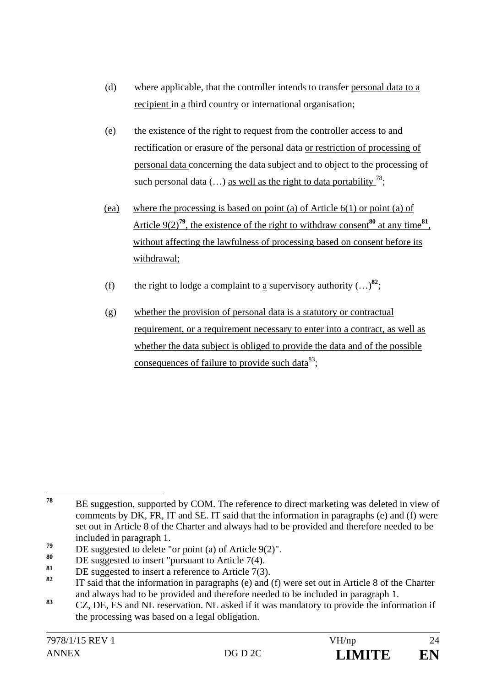- (d) where applicable, that the controller intends to transfer personal data to a recipient in a third country or international organisation;
- (e) the existence of the right to request from the controller access to and rectification or erasure of the personal data or restriction of processing of personal data concerning the data subject and to object to the processing of such personal data  $(...)$  as well as the right to data portability  $\frac{78}{3}$ ;
- (ea) where the processing is based on point (a) of Article 6(1) or point (a) of Article  $9(2)^{79}$ , the existence of the right to withdraw consent<sup>80</sup> at any time<sup>81</sup>, without affecting the lawfulness of processing based on consent before its withdrawal;
- (f) the right to lodge a complaint to a supervisory authority  $(...)^{82}$ ;
- (g) whether the provision of personal data is a statutory or contractual requirement, or a requirement necessary to enter into a contract, as well as whether the data subject is obliged to provide the data and of the possible consequences of failure to provide such data $^{83}$ ;

<sup>78</sup> BE suggestion, supported by COM. The reference to direct marketing was deleted in view of comments by DK, FR, IT and SE. IT said that the information in paragraphs (e) and (f) were set out in Article 8 of the Charter and always had to be provided and therefore needed to be included in paragraph 1.

<sup>&</sup>lt;sup>79</sup> DE suggested to delete "or point (a) of Article 9(2)".

<sup>80</sup> DE suggested to insert "pursuant to Article 7(4).

<sup>&</sup>lt;sup>81</sup> DE suggested to insert a reference to Article 7(3).

**<sup>82</sup>** IT said that the information in paragraphs (e) and (f) were set out in Article 8 of the Charter and always had to be provided and therefore needed to be included in paragraph 1.

**<sup>83</sup>** CZ, DE, ES and NL reservation. NL asked if it was mandatory to provide the information if the processing was based on a legal obligation.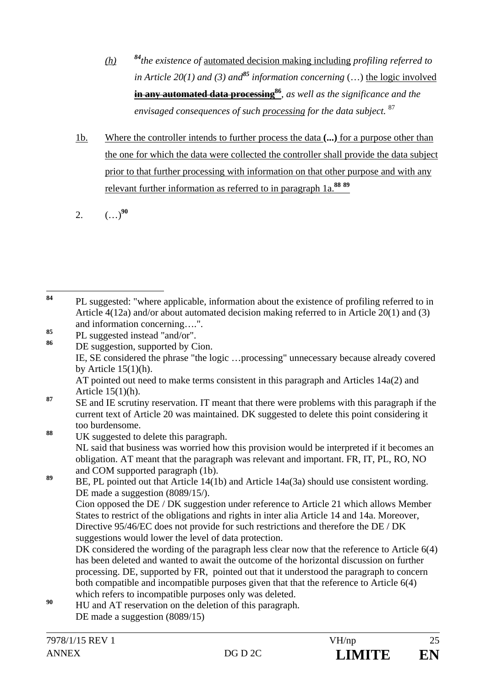- *(h) <sup>84</sup>the existence of* automated decision making including *profiling referred to in Article 20(1) and (3) and<sup>85</sup> information concerning* (…) the logic involved **in any automated data processing<sup>86</sup>**, as well as the significance and the *envisaged consequences of such processing for the data subject.* <sup>87</sup>
- 1b. Where the controller intends to further process the data **(...)** for a purpose other than the one for which the data were collected the controller shall provide the data subject prior to that further processing with information on that other purpose and with any relevant further information as referred to in paragraph 1a.**<sup>88</sup> <sup>89</sup>**
- 2.  $(\ldots)^{90}$

**<sup>88</sup>** UK suggested to delete this paragraph. NL said that business was worried how this provision would be interpreted if it becomes an obligation. AT meant that the paragraph was relevant and important. FR, IT, PL, RO, NO and COM supported paragraph (1b).

89 BE, PL pointed out that Article 14(1b) and Article 14a(3a) should use consistent wording. DE made a suggestion (8089/15/). Cion opposed the DE / DK suggestion under reference to Article 21 which allows Member States to restrict of the obligations and rights in inter alia Article 14 and 14a. Moreover, Directive 95/46/EC does not provide for such restrictions and therefore the DE / DK suggestions would lower the level of data protection. DK considered the wording of the paragraph less clear now that the reference to Article 6(4) has been deleted and wanted to await the outcome of the horizontal discussion on further processing. DE, supported by FR, pointed out that it understood the paragraph to concern both compatible and incompatible purposes given that that the reference to Article 6(4)

- which refers to incompatible purposes only was deleted.
- <sup>90</sup> HU and AT reservation on the deletion of this paragraph. DE made a suggestion (8089/15)

<sup>84</sup> **<sup>84</sup>** PL suggested: "where applicable, information about the existence of profiling referred to in Article 4(12a) and/or about automated decision making referred to in Article 20(1) and (3) and information concerning….".

 $\frac{85}{86}$  PL suggested instead "and/or".

DE suggestion, supported by Cion. IE, SE considered the phrase "the logic …processing" unnecessary because already covered by Article  $15(1)(h)$ . AT pointed out need to make terms consistent in this paragraph and Articles 14a(2) and Article 15(1)(h).

<sup>&</sup>lt;sup>87</sup> SE and IE scrutiny reservation. IT meant that there were problems with this paragraph if the current text of Article 20 was maintained. DK suggested to delete this point considering it too burdensome.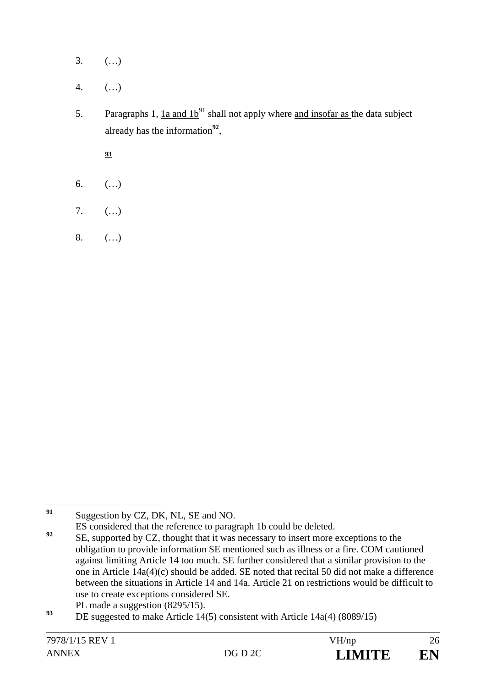- $3.$  (...)
- 4. (…)
- 5. Paragraphs 1,  $1a$  and  $1b^{91}$  shall not apply where and insofar as the data subject already has the information**<sup>92</sup>**,

**93**

- 6.  $($ ...)
- 7. (…)
- 8. (…)

 $91$ **<sup>91</sup>** Suggestion by CZ, DK, NL, SE and NO.

ES considered that the reference to paragraph 1b could be deleted.

**<sup>92</sup>** SE, supported by CZ, thought that it was necessary to insert more exceptions to the obligation to provide information SE mentioned such as illness or a fire. COM cautioned against limiting Article 14 too much. SE further considered that a similar provision to the one in Article 14a(4)(c) should be added. SE noted that recital 50 did not make a difference between the situations in Article 14 and 14a. Article 21 on restrictions would be difficult to use to create exceptions considered SE.

PL made a suggestion  $(8295/15)$ .

DE suggested to make Article 14(5) consistent with Article 14a(4) (8089/15)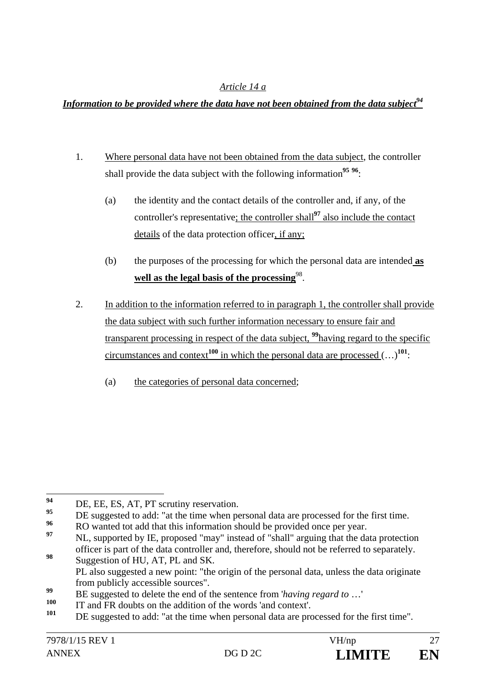#### *Article 14 a*

### *Information to be provided where the data have not been obtained from the data subject*  $94$

- 1. Where personal data have not been obtained from the data subject, the controller shall provide the data subject with the following information**<sup>95</sup> <sup>96</sup>**:
	- (a) the identity and the contact details of the controller and, if any, of the controller's representative; the controller shall**<sup>97</sup>** also include the contact details of the data protection officer, if any;
	- (b) the purposes of the processing for which the personal data are intended **as**  well as the legal basis of the processing<sup>98</sup>.
- 2. In addition to the information referred to in paragraph 1, the controller shall provide the data subject with such further information necessary to ensure fair and transparent processing in respect of the data subject, **<sup>99</sup>**having regard to the specific circumstances and context<sup>100</sup> in which the personal data are processed  $(...)^{101}$ :
	- (a) the categories of personal data concerned;

<sup>94</sup> <sup>94</sup> DE, EE, ES, AT, PT scrutiny reservation.

<sup>&</sup>lt;sup>95</sup> DE suggested to add: "at the time when personal data are processed for the first time.

**<sup>96</sup>** RO wanted tot add that this information should be provided once per year.

**<sup>97</sup>** NL, supported by IE, proposed "may" instead of "shall" arguing that the data protection officer is part of the data controller and, therefore, should not be referred to separately. **<sup>98</sup>** Suggestion of HU, AT, PL and SK.

PL also suggested a new point: "the origin of the personal data, unless the data originate from publicly accessible sources".

**<sup>99</sup>** BE suggested to delete the end of the sentence from '*having regard to* …'

<sup>&</sup>lt;sup>100</sup> IT and FR doubts on the addition of the words 'and context'.

**<sup>101</sup>** DE suggested to add: "at the time when personal data are processed for the first time".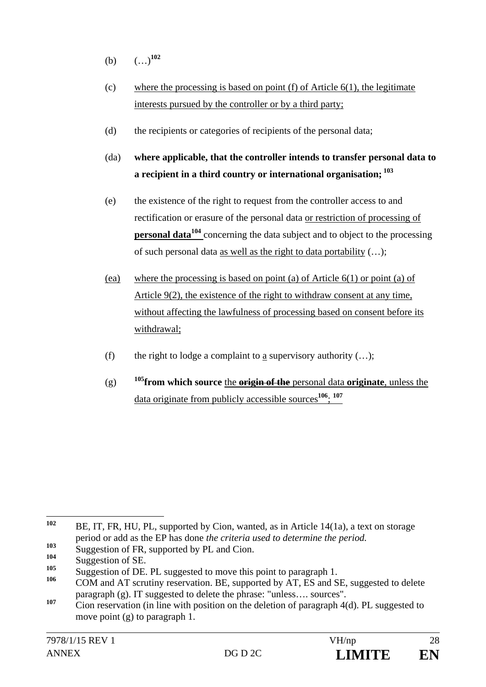- (b) (…)**<sup>102</sup>**
- (c) where the processing is based on point  $(f)$  of Article  $6(1)$ , the legitimate interests pursued by the controller or by a third party;
- (d) the recipients or categories of recipients of the personal data;
- (da) **where applicable, that the controller intends to transfer personal data to a recipient in a third country or international organisation; 103**
- (e) the existence of the right to request from the controller access to and rectification or erasure of the personal data or restriction of processing of **personal data<sup>104</sup>** concerning the data subject and to object to the processing of such personal data as well as the right to data portability (…);
- (ea) where the processing is based on point (a) of Article 6(1) or point (a) of Article 9(2), the existence of the right to withdraw consent at any time, without affecting the lawfulness of processing based on consent before its withdrawal;
- (f) the right to lodge a complaint to a supervisory authority  $(...);$
- (g) **105from which source** the **origin of the** personal data **originate**, unless the data originate from publicly accessible sources**<sup>106</sup>**; **<sup>107</sup>**

<sup>102</sup> BE, IT, FR, HU, PL, supported by Cion, wanted, as in Article 14(1a), a text on storage period or add as the EP has done *the criteria used to determine the period.*

<sup>&</sup>lt;sup>103</sup> Suggestion of FR, supported by PL and Cion.

<sup>&</sup>lt;sup>104</sup> Suggestion of SE.

<sup>&</sup>lt;sup>105</sup> Suggestion of DE. PL suggested to move this point to paragraph 1.

**<sup>106</sup>** COM and AT scrutiny reservation. BE, supported by AT, ES and SE, suggested to delete paragraph (g). IT suggested to delete the phrase: "unless…. sources".

<sup>107</sup> Cion reservation (in line with position on the deletion of paragraph 4(d). PL suggested to move point (g) to paragraph 1.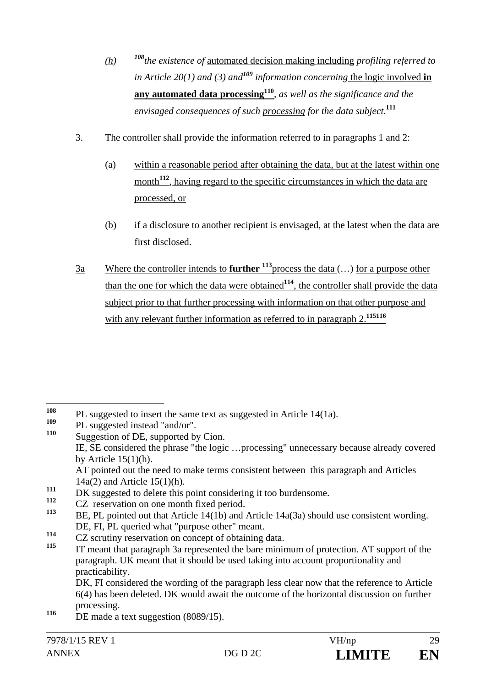- *(h) <sup>108</sup>the existence of* automated decision making including *profiling referred to in Article 20(1) and (3) and<sup>109</sup> information concerning* the logic involved **in any automated data processing110***, as well as the significance and the envisaged consequences of such processing for the data subject*. **111**
- 3. The controller shall provide the information referred to in paragraphs 1 and 2:
	- (a) within a reasonable period after obtaining the data, but at the latest within one month<sup>112</sup>, having regard to the specific circumstances in which the data are processed, or
	- (b) if a disclosure to another recipient is envisaged, at the latest when the data are first disclosed.
- 3a Where the controller intends to **further <sup>113</sup>**process the data (…) for a purpose other than the one for which the data were obtained**<sup>114</sup>**, the controller shall provide the data subject prior to that further processing with information on that other purpose and with any relevant further information as referred to in paragraph 2.<sup>115116</sup>

<sup>112</sup> CZ reservation on one month fixed period.

**<sup>114</sup>** CZ scrutiny reservation on concept of obtaining data.

 DK, FI considered the wording of the paragraph less clear now that the reference to Article 6(4) has been deleted. DK would await the outcome of the horizontal discussion on further processing.

<sup>116</sup> DE made a text suggestion (8089/15).

<sup>108</sup> <sup>108</sup> PL suggested to insert the same text as suggested in Article 14(1a).

<sup>&</sup>lt;sup>109</sup> PL suggested instead "and/or".

Suggestion of DE, supported by Cion. IE, SE considered the phrase "the logic …processing" unnecessary because already covered by Article  $15(1)(h)$ .

AT pointed out the need to make terms consistent between this paragraph and Articles 14a(2) and Article 15(1)(h).

<sup>&</sup>lt;sup>111</sup> DK suggested to delete this point considering it too burdensome.

**<sup>113</sup>** BE, PL pointed out that Article 14(1b) and Article 14a(3a) should use consistent wording. DE, FI, PL queried what "purpose other" meant.

**<sup>115</sup>** IT meant that paragraph 3a represented the bare minimum of protection. AT support of the paragraph. UK meant that it should be used taking into account proportionality and practicability.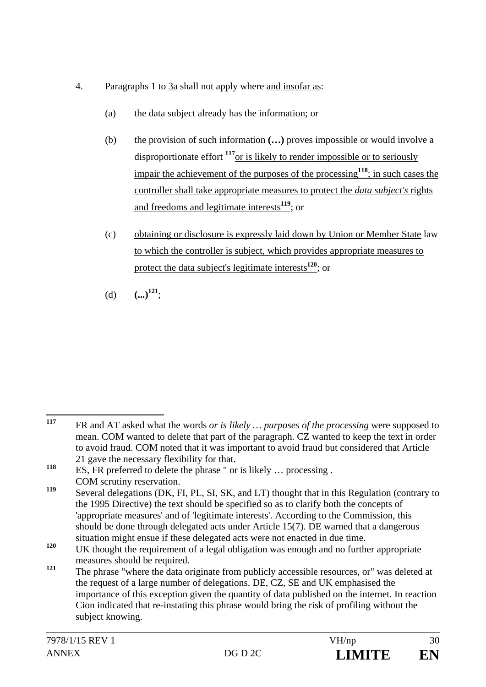- 4. Paragraphs 1 to 3a shall not apply where and insofar as:
	- (a) the data subject already has the information; or
	- (b) the provision of such information **(…)** proves impossible or would involve a disproportionate effort **<sup>117</sup>**or is likely to render impossible or to seriously impair the achievement of the purposes of the processing**<sup>118</sup>**; in such cases the controller shall take appropriate measures to protect the *data subject's* rights and freedoms and legitimate interests**<sup>119</sup>**; or
	- (c) obtaining or disclosure is expressly laid down by Union or Member State law to which the controller is subject, which provides appropriate measures to protect the data subject's legitimate interests**<sup>120</sup>**; or
	- (d)  $(\ldots)^{121}$ ;

<sup>117</sup> **<sup>117</sup>** FR and AT asked what the words *or is likely … purposes of the processing* were supposed to mean. COM wanted to delete that part of the paragraph. CZ wanted to keep the text in order to avoid fraud. COM noted that it was important to avoid fraud but considered that Article 21 gave the necessary flexibility for that.

**<sup>118</sup>** ES, FR preferred to delete the phrase " or is likely … processing . COM scrutiny reservation.

Several delegations (DK, FI, PL, SI, SK, and LT) thought that in this Regulation (contrary to the 1995 Directive) the text should be specified so as to clarify both the concepts of 'appropriate measures' and of 'legitimate interests'. According to the Commission, this should be done through delegated acts under Article 15(7). DE warned that a dangerous situation might ensue if these delegated acts were not enacted in due time.

<sup>&</sup>lt;sup>120</sup> UK thought the requirement of a legal obligation was enough and no further appropriate measures should be required.

<sup>&</sup>lt;sup>121</sup> The phrase "where the data originate from publicly accessible resources, or" was deleted at the request of a large number of delegations. DE, CZ, SE and UK emphasised the importance of this exception given the quantity of data published on the internet. In reaction Cion indicated that re-instating this phrase would bring the risk of profiling without the subject knowing.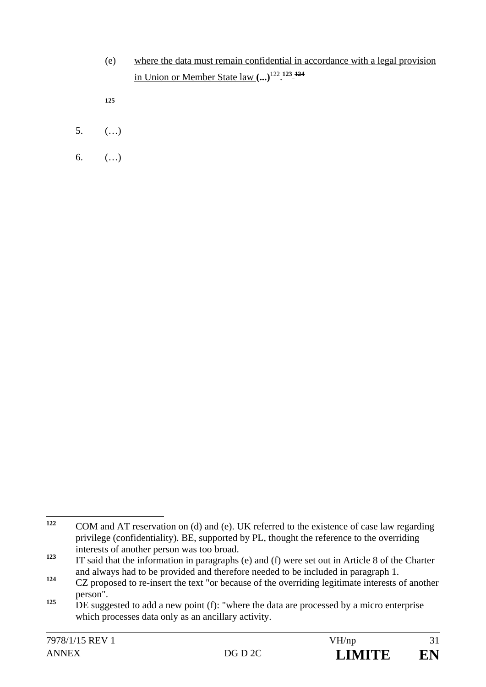(e) where the data must remain confidential in accordance with a legal provision in Union or Member State law **(...)**122. **123 124**

**125**

- 5. (…)
- 6.  $($ ...)

<sup>122</sup> **<sup>122</sup>** COM and AT reservation on (d) and (e). UK referred to the existence of case law regarding privilege (confidentiality). BE, supported by PL, thought the reference to the overriding interests of another person was too broad.

**<sup>123</sup>** IT said that the information in paragraphs (e) and (f) were set out in Article 8 of the Charter and always had to be provided and therefore needed to be included in paragraph 1.

<sup>&</sup>lt;sup>124</sup> CZ proposed to re-insert the text "or because of the overriding legitimate interests of another person".

<sup>&</sup>lt;sup>125</sup> DE suggested to add a new point (f): "where the data are processed by a micro enterprise which processes data only as an ancillary activity.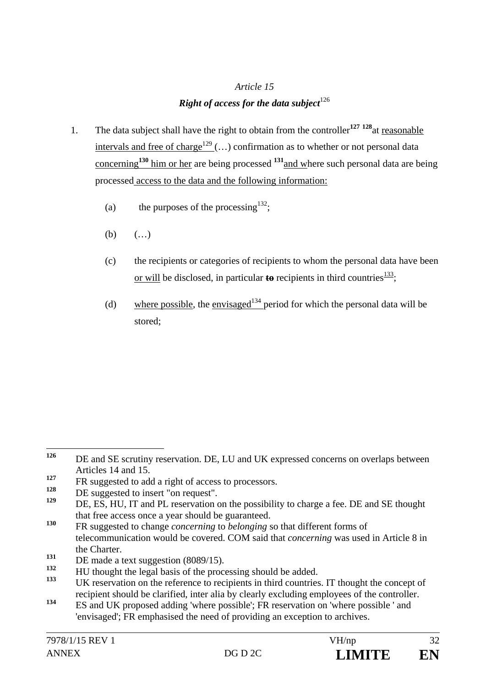#### *Article 15*

#### *Right of access for the data subject*<sup>126</sup>

- 1. The data subject shall have the right to obtain from the controller**<sup>127</sup> <sup>128</sup>**at reasonable intervals and free of charge<sup>129</sup> (...) confirmation as to whether or not personal data concerning**<sup>130</sup>** him or her are being processed **<sup>131</sup>**and where such personal data are being processed access to the data and the following information:
	- (a) the purposes of the processing<sup>132</sup>;
	- (b)  $( ...)$
	- (c) the recipients or categories of recipients to whom the personal data have been or will be disclosed, in particular **to** recipients in third countries  $\frac{133}{2}$ ;
	- (d) where possible, the envisaged<sup>134</sup> period for which the personal data will be stored;

<sup>126</sup> DE and SE scrutiny reservation. DE, LU and UK expressed concerns on overlaps between Articles 14 and 15.

**<sup>127</sup>** FR suggested to add a right of access to processors.

<sup>&</sup>lt;sup>128</sup> DE suggested to insert "on request".

DE, ES, HU, IT and PL reservation on the possibility to charge a fee. DE and SE thought that free access once a year should be guaranteed.

**<sup>130</sup>** FR suggested to change *concerning* to *belonging* so that different forms of telecommunication would be covered. COM said that *concerning* was used in Article 8 in the Charter.

<sup>&</sup>lt;sup>131</sup> DE made a text suggestion (8089/15).

<sup>&</sup>lt;sup>132</sup> HU thought the legal basis of the processing should be added.

**<sup>133</sup>** UK reservation on the reference to recipients in third countries. IT thought the concept of recipient should be clarified, inter alia by clearly excluding employees of the controller.

**<sup>134</sup>** ES and UK proposed adding 'where possible'; FR reservation on 'where possible ' and 'envisaged'; FR emphasised the need of providing an exception to archives.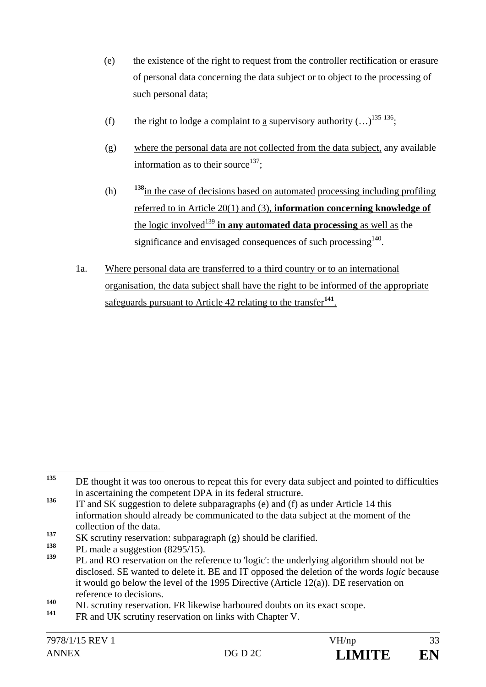- (e) the existence of the right to request from the controller rectification or erasure of personal data concerning the data subject or to object to the processing of such personal data;
- (f) the right to lodge a complaint to a supervisory authority  $(...)^{135 \, 136}$ ;
- (g) where the personal data are not collected from the data subject, any available information as to their source<sup>137</sup>;
- (h) **<sup>138</sup>**in the case of decisions based on automated processing including profiling referred to in Article 20(1) and (3), **information concerning knowledge of** the logic involved<sup>139</sup> in any automated data processing as well as the significance and envisaged consequences of such processing $140$ .
- 1a. Where personal data are transferred to a third country or to an international organisation, the data subject shall have the right to be informed of the appropriate safeguards pursuant to Article 42 relating to the transfer**<sup>141</sup>**.

<sup>135</sup> **<sup>135</sup>** DE thought it was too onerous to repeat this for every data subject and pointed to difficulties in ascertaining the competent DPA in its federal structure.

<sup>&</sup>lt;sup>136</sup> IT and SK suggestion to delete subparagraphs (e) and (f) as under Article 14 this information should already be communicated to the data subject at the moment of the collection of the data.

**<sup>137</sup>** SK scrutiny reservation: subparagraph (g) should be clarified.

<sup>&</sup>lt;sup>138</sup> PL made a suggestion (8295/15).

**<sup>139</sup>** PL and RO reservation on the reference to 'logic': the underlying algorithm should not be disclosed. SE wanted to delete it. BE and IT opposed the deletion of the words *logic* because it would go below the level of the 1995 Directive (Article 12(a)). DE reservation on reference to decisions.

<sup>&</sup>lt;sup>140</sup> NL scrutiny reservation. FR likewise harboured doubts on its exact scope.

FR and UK scrutiny reservation on links with Chapter V.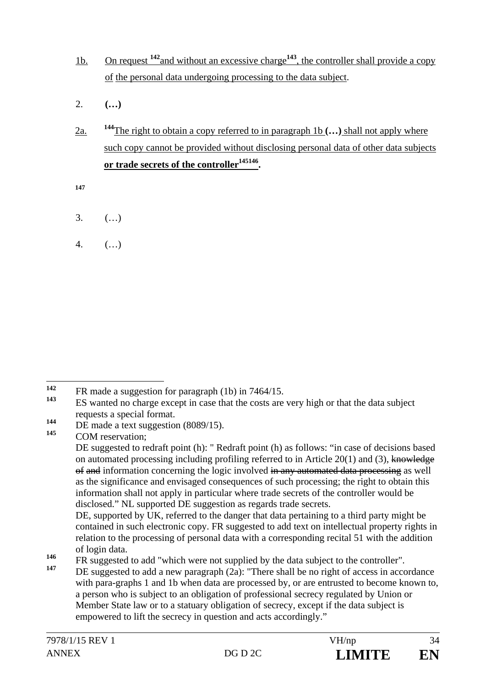- 1b. On request **<sup>142</sup>**and without an excessive charge**<sup>143</sup>**, the controller shall provide a copy of the personal data undergoing processing to the data subject.
- 2. **(…)**
- 2a. **<sup>144</sup>**The right to obtain a copy referred to in paragraph 1b **(…)** shall not apply where such copy cannot be provided without disclosing personal data of other data subjects or trade secrets of the controller<sup>145146</sup>.

**147**

- 3. (…)
- 4. (…)

**<sup>145</sup>** COM reservation;

 $142$ **142** FR made a suggestion for paragraph (1b) in 7464/15.

**<sup>143</sup>** ES wanted no charge except in case that the costs are very high or that the data subject requests a special format.

<sup>144</sup> DE made a text suggestion (8089/15).

DE suggested to redraft point (h): " Redraft point (h) as follows: "in case of decisions based on automated processing including profiling referred to in Article 20(1) and (3), knowledge of and information concerning the logic involved in any automated data processing as well as the significance and envisaged consequences of such processing; the right to obtain this information shall not apply in particular where trade secrets of the controller would be disclosed." NL supported DE suggestion as regards trade secrets.

DE, supported by UK, referred to the danger that data pertaining to a third party might be contained in such electronic copy. FR suggested to add text on intellectual property rights in relation to the processing of personal data with a corresponding recital 51 with the addition of login data.

**<sup>146</sup>** FR suggested to add "which were not supplied by the data subject to the controller".

DE suggested to add a new paragraph (2a): "There shall be no right of access in accordance with para-graphs 1 and 1b when data are processed by, or are entrusted to become known to, a person who is subject to an obligation of professional secrecy regulated by Union or Member State law or to a statuary obligation of secrecy, except if the data subject is empowered to lift the secrecy in question and acts accordingly."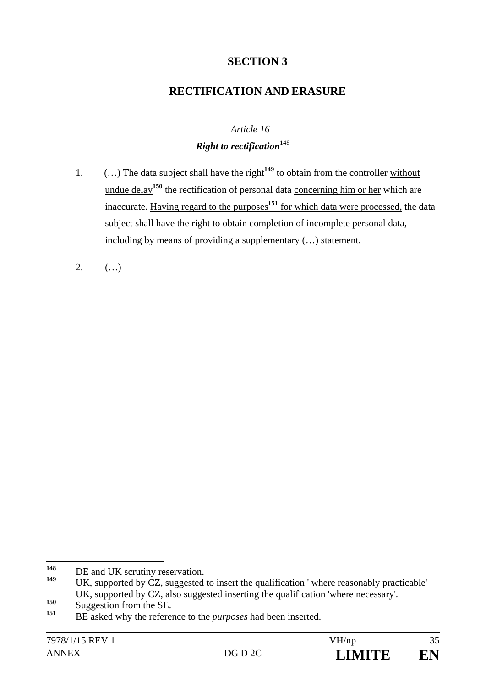## **SECTION 3**

### **RECTIFICATION AND ERASURE**

# *Article 16 Right to rectification*<sup>148</sup>

- 1. (…) The data subject shall have the right**<sup>149</sup>** to obtain from the controller without undue delay<sup>150</sup> the rectification of personal data concerning him or her which are inaccurate. Having regard to the purposes**<sup>151</sup>** for which data were processed, the data subject shall have the right to obtain completion of incomplete personal data, including by means of providing a supplementary (…) statement.
- 2.  $($ ...)

<sup>148</sup> <sup>148</sup> DE and UK scrutiny reservation.

UK, supported by CZ, suggested to insert the qualification ' where reasonably practicable' UK, supported by CZ, also suggested inserting the qualification 'where necessary'.

<sup>150</sup> Suggestion from the SE.

**<sup>151</sup>** BE asked why the reference to the *purposes* had been inserted.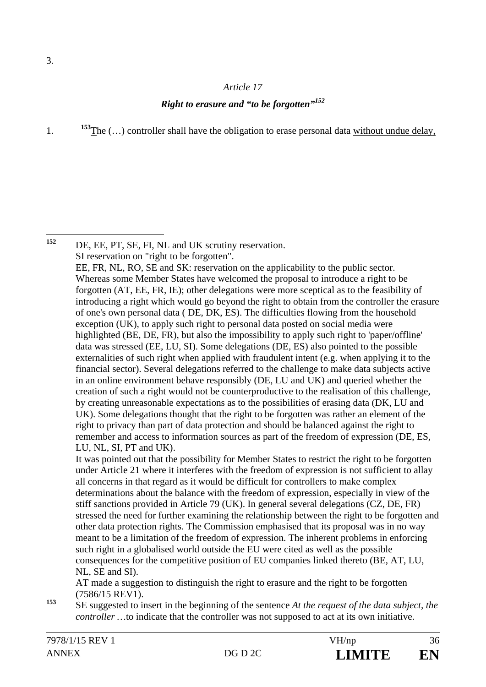#### *Article 17*

#### *Right to erasure and "to be forgotten"<sup>152</sup>*

1. **153**The (...) controller shall have the obligation to erase personal data without undue delay,

152 DE, EE, PT, SE, FI, NL and UK scrutiny reservation. SI reservation on "right to be forgotten". EE, FR, NL, RO, SE and SK: reservation on the applicability to the public sector. Whereas some Member States have welcomed the proposal to introduce a right to be forgotten (AT, EE, FR, IE); other delegations were more sceptical as to the feasibility of introducing a right which would go beyond the right to obtain from the controller the erasure of one's own personal data ( DE, DK, ES). The difficulties flowing from the household exception (UK), to apply such right to personal data posted on social media were highlighted (BE, DE, FR), but also the impossibility to apply such right to 'paper/offline' data was stressed (EE, LU, SI). Some delegations (DE, ES) also pointed to the possible externalities of such right when applied with fraudulent intent (e.g. when applying it to the financial sector). Several delegations referred to the challenge to make data subjects active in an online environment behave responsibly (DE, LU and UK) and queried whether the creation of such a right would not be counterproductive to the realisation of this challenge, by creating unreasonable expectations as to the possibilities of erasing data (DK, LU and UK). Some delegations thought that the right to be forgotten was rather an element of the right to privacy than part of data protection and should be balanced against the right to remember and access to information sources as part of the freedom of expression (DE, ES, LU, NL, SI, PT and UK). It was pointed out that the possibility for Member States to restrict the right to be forgotten under Article 21 where it interferes with the freedom of expression is not sufficient to allay

all concerns in that regard as it would be difficult for controllers to make complex determinations about the balance with the freedom of expression, especially in view of the stiff sanctions provided in Article 79 (UK). In general several delegations (CZ, DE, FR) stressed the need for further examining the relationship between the right to be forgotten and other data protection rights. The Commission emphasised that its proposal was in no way meant to be a limitation of the freedom of expression. The inherent problems in enforcing such right in a globalised world outside the EU were cited as well as the possible consequences for the competitive position of EU companies linked thereto (BE, AT, LU, NL, SE and SI).

 AT made a suggestion to distinguish the right to erasure and the right to be forgotten (7586/15 REV1).

**<sup>153</sup>** SE suggested to insert in the beginning of the sentence *At the request of the data subject, the controller* ... to indicate that the controller was not supposed to act at its own initiative.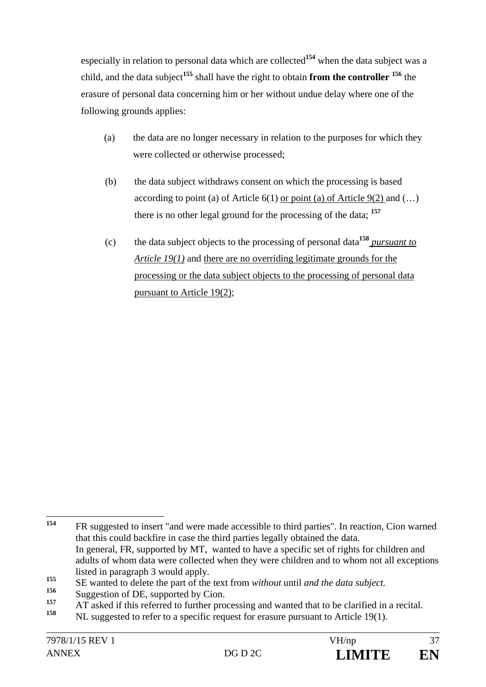especially in relation to personal data which are collected**<sup>154</sup>** when the data subject was a child, and the data subject**<sup>155</sup>** shall have the right to obtain **from the controller 156** the erasure of personal data concerning him or her without undue delay where one of the following grounds applies:

- (a) the data are no longer necessary in relation to the purposes for which they were collected or otherwise processed;
- (b) the data subject withdraws consent on which the processing is based according to point (a) of Article  $6(1)$  or point (a) of Article  $9(2)$  and (...) there is no other legal ground for the processing of the data; **<sup>157</sup>**
- (c) the data subject objects to the processing of personal data**<sup>158</sup>** *pursuant to Article 19(1)* and there are no overriding legitimate grounds for the processing or the data subject objects to the processing of personal data pursuant to Article 19(2);

<sup>154</sup> **<sup>154</sup>** FR suggested to insert "and were made accessible to third parties". In reaction, Cion warned that this could backfire in case the third parties legally obtained the data. In general, FR, supported by MT, wanted to have a specific set of rights for children and adults of whom data were collected when they were children and to whom not all exceptions listed in paragraph 3 would apply.

**<sup>155</sup>** SE wanted to delete the part of the text from *without* until *and the data subject*.

<sup>&</sup>lt;sup>156</sup> Suggestion of DE, supported by Cion.

<sup>&</sup>lt;sup>157</sup> AT asked if this referred to further processing and wanted that to be clarified in a recital.

**<sup>158</sup>** NL suggested to refer to a specific request for erasure pursuant to Article 19(1).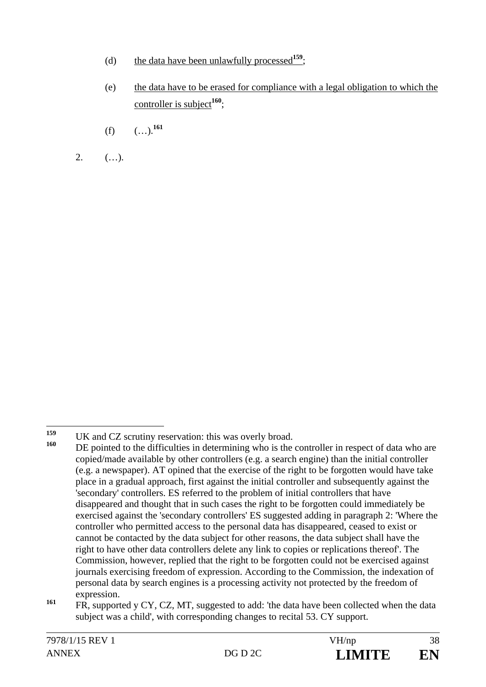- (d) the data have been unlawfully processed**<sup>159</sup>**;
- (e) the data have to be erased for compliance with a legal obligation to which the controller is subject**<sup>160</sup>**;
- $(f)$   $($ …).<sup>161</sup>
- 2.  $($ ...).

<sup>159</sup> <sup>159</sup> UK and CZ scrutiny reservation: this was overly broad.

DE pointed to the difficulties in determining who is the controller in respect of data who are copied/made available by other controllers (e.g. a search engine) than the initial controller (e.g. a newspaper). AT opined that the exercise of the right to be forgotten would have take place in a gradual approach, first against the initial controller and subsequently against the 'secondary' controllers. ES referred to the problem of initial controllers that have disappeared and thought that in such cases the right to be forgotten could immediately be exercised against the 'secondary controllers' ES suggested adding in paragraph 2: 'Where the controller who permitted access to the personal data has disappeared, ceased to exist or cannot be contacted by the data subject for other reasons, the data subject shall have the right to have other data controllers delete any link to copies or replications thereof'. The Commission, however, replied that the right to be forgotten could not be exercised against journals exercising freedom of expression. According to the Commission, the indexation of personal data by search engines is a processing activity not protected by the freedom of expression.

<sup>&</sup>lt;sup>161</sup> FR, supported y CY, CZ, MT, suggested to add: 'the data have been collected when the data subject was a child', with corresponding changes to recital 53. CY support.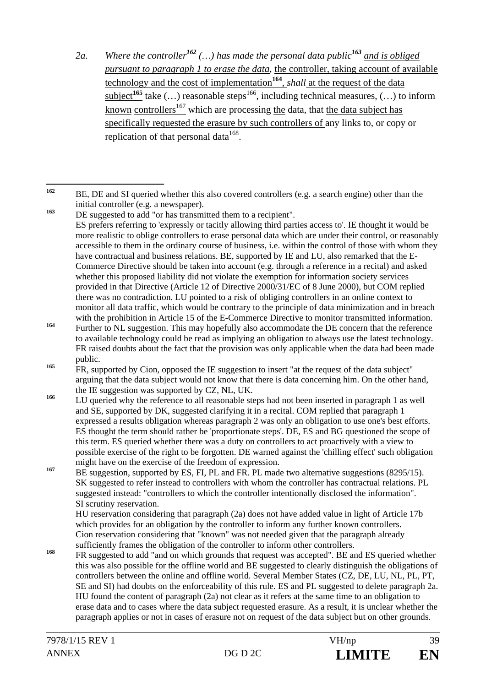*2a. Where the controller<sup>162</sup> (…) has made the personal data public<sup>163</sup> and is obliged pursuant to paragraph 1 to erase the data,* the controller, taking account of available technology and the cost of implementation**<sup>164</sup>**, *shall* at the request of the data  $\underline{\text{subject}}^{165}$  take  $(\dots)$  reasonable steps<sup>166</sup>, including technical measures,  $(\dots)$  to inform known controllers<sup>167</sup> which are processing the data, that the data subject has specifically requested the erasure by such controllers of any links to, or copy or replication of that personal data  $\frac{168}{168}$ .

- **<sup>166</sup>** LU queried why the reference to all reasonable steps had not been inserted in paragraph 1 as well and SE, supported by DK, suggested clarifying it in a recital. COM replied that paragraph 1 expressed a results obligation whereas paragraph 2 was only an obligation to use one's best efforts. ES thought the term should rather be 'proportionate steps'. DE, ES and BG questioned the scope of this term. ES queried whether there was a duty on controllers to act proactively with a view to possible exercise of the right to be forgotten. DE warned against the 'chilling effect' such obligation might have on the exercise of the freedom of expression.
- <sup>167</sup> BE suggestion, supported by ES, FI, PL and FR. PL made two alternative suggestions (8295/15). SK suggested to refer instead to controllers with whom the controller has contractual relations. PL suggested instead: "controllers to which the controller intentionally disclosed the information". SI scrutiny reservation.

 HU reservation considering that paragraph (2a) does not have added value in light of Article 17b which provides for an obligation by the controller to inform any further known controllers. Cion reservation considering that "known" was not needed given that the paragraph already sufficiently frames the obligation of the controller to inform other controllers.

**<sup>168</sup>** FR suggested to add "and on which grounds that request was accepted". BE and ES queried whether this was also possible for the offline world and BE suggested to clearly distinguish the obligations of controllers between the online and offline world. Several Member States (CZ, DE, LU, NL, PL, PT, SE and SI) had doubts on the enforceability of this rule. ES and PL suggested to delete paragraph 2a. HU found the content of paragraph (2a) not clear as it refers at the same time to an obligation to erase data and to cases where the data subject requested erasure. As a result, it is unclear whether the paragraph applies or not in cases of erasure not on request of the data subject but on other grounds.

 $162$ **<sup>162</sup>** BE, DE and SI queried whether this also covered controllers (e.g. a search engine) other than the initial controller (e.g. a newspaper).

<sup>&</sup>lt;sup>163</sup> DE suggested to add "or has transmitted them to a recipient". ES prefers referring to 'expressly or tacitly allowing third parties access to'. IE thought it would be more realistic to oblige controllers to erase personal data which are under their control, or reasonably accessible to them in the ordinary course of business, i.e. within the control of those with whom they have contractual and business relations. BE, supported by IE and LU, also remarked that the E-Commerce Directive should be taken into account (e.g. through a reference in a recital) and asked whether this proposed liability did not violate the exemption for information society services provided in that Directive (Article 12 of Directive 2000/31/EC of 8 June 2000), but COM replied there was no contradiction. LU pointed to a risk of obliging controllers in an online context to monitor all data traffic, which would be contrary to the principle of data minimization and in breach with the prohibition in Article 15 of the E-Commerce Directive to monitor transmitted information.

**<sup>164</sup>** Further to NL suggestion. This may hopefully also accommodate the DE concern that the reference to available technology could be read as implying an obligation to always use the latest technology. FR raised doubts about the fact that the provision was only applicable when the data had been made public.

<sup>&</sup>lt;sup>165</sup> FR, supported by Cion, opposed the IE suggestion to insert "at the request of the data subject" arguing that the data subject would not know that there is data concerning him. On the other hand, the IE suggestion was supported by CZ, NL, UK.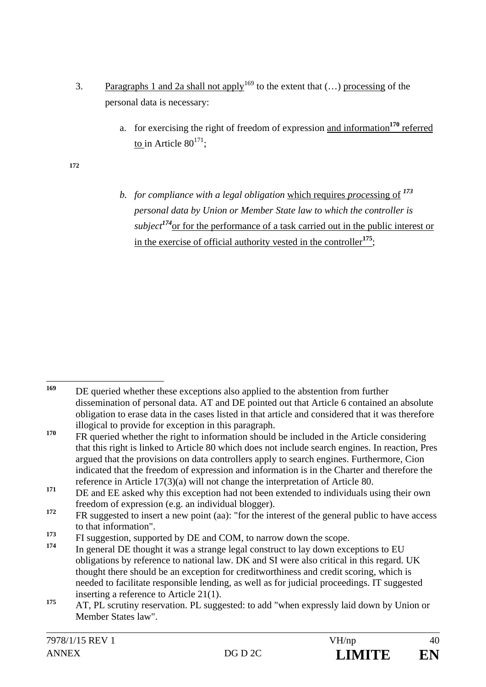- 3. Paragraphs 1 and 2a shall not apply<sup>169</sup> to the extent that  $(...)$  processing of the personal data is necessary:
	- a. for exercising the right of freedom of expression and information**<sup>170</sup>** referred to in Article  $80^{171}$ :

**172**

*b. for compliance with a legal obligation* which requires *process*ing of *<sup>173</sup> personal data by Union or Member State law to which the controller is subject<sup>174</sup>*or for the performance of a task carried out in the public interest or in the exercise of official authority vested in the controller**<sup>175</sup>**;

<sup>169</sup> **<sup>169</sup>** DE queried whether these exceptions also applied to the abstention from further dissemination of personal data. AT and DE pointed out that Article 6 contained an absolute obligation to erase data in the cases listed in that article and considered that it was therefore illogical to provide for exception in this paragraph.

<sup>&</sup>lt;sup>170</sup> FR queried whether the right to information should be included in the Article considering that this right is linked to Article 80 which does not include search engines. In reaction, Pres argued that the provisions on data controllers apply to search engines. Furthermore, Cion indicated that the freedom of expression and information is in the Charter and therefore the reference in Article 17(3)(a) will not change the interpretation of Article 80.

<sup>&</sup>lt;sup>171</sup> DE and EE asked why this exception had not been extended to individuals using their own freedom of expression (e.g. an individual blogger).

<sup>&</sup>lt;sup>172</sup> FR suggested to insert a new point (aa): "for the interest of the general public to have access to that information".

<sup>&</sup>lt;sup>173</sup> FI suggestion, supported by DE and COM, to narrow down the scope.

**<sup>174</sup>** In general DE thought it was a strange legal construct to lay down exceptions to EU obligations by reference to national law. DK and SI were also critical in this regard. UK thought there should be an exception for creditworthiness and credit scoring, which is needed to facilitate responsible lending, as well as for judicial proceedings. IT suggested inserting a reference to Article 21(1).

<sup>&</sup>lt;sup>175</sup> AT, PL scrutiny reservation. PL suggested: to add "when expressly laid down by Union or Member States law".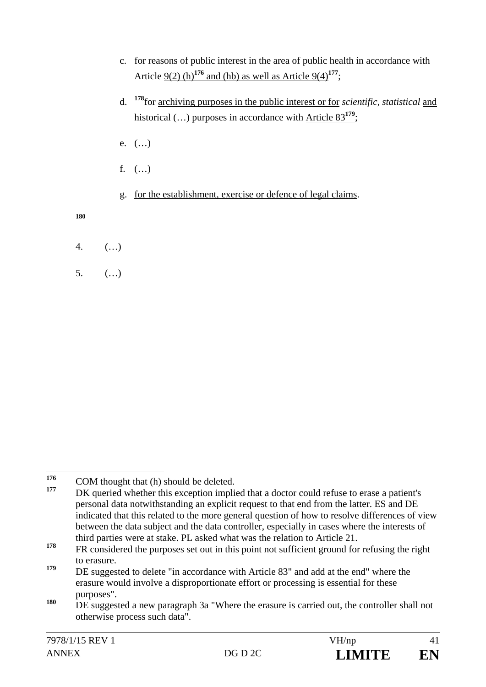- c. for reasons of public interest in the area of public health in accordance with Article  $9(2)$  (h)<sup>176</sup> and (hb) as well as Article  $9(4)$ <sup>177</sup>;
- d. **<sup>178</sup>**for archiving purposes in the public interest or for *scientific, statistical* and historical (…) purposes in accordance with Article 83**<sup>179</sup>**;
- e. (…)
- f.  $($ ...)
- g. for the establishment, exercise or defence of legal claims.

**180**

- 4. (…)
- 5. (…)

<sup>176</sup> <sup>176</sup> COM thought that (h) should be deleted.

DK queried whether this exception implied that a doctor could refuse to erase a patient's personal data notwithstanding an explicit request to that end from the latter. ES and DE indicated that this related to the more general question of how to resolve differences of view between the data subject and the data controller, especially in cases where the interests of third parties were at stake. PL asked what was the relation to Article 21.

<sup>&</sup>lt;sup>178</sup> FR considered the purposes set out in this point not sufficient ground for refusing the right to erasure.

<sup>&</sup>lt;sup>179</sup> DE suggested to delete "in accordance with Article 83" and add at the end" where the erasure would involve a disproportionate effort or processing is essential for these purposes".

**<sup>180</sup>** DE suggested a new paragraph 3a "Where the erasure is carried out, the controller shall not otherwise process such data".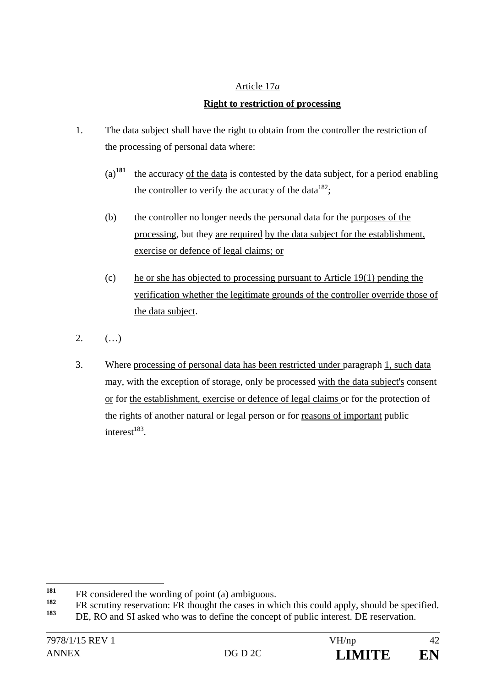# Article 17*a* **Right to restriction of processing**

- 1. The data subject shall have the right to obtain from the controller the restriction of the processing of personal data where:
	- (a)**<sup>181</sup>** the accuracy of the data is contested by the data subject, for a period enabling the controller to verify the accuracy of the data $182$ :
	- (b) the controller no longer needs the personal data for the purposes of the processing, but they are required by the data subject for the establishment, exercise or defence of legal claims; or
	- (c) he or she has objected to processing pursuant to Article 19(1) pending the verification whether the legitimate grounds of the controller override those of the data subject.
- 2.  $($ ...)
- 3. Where processing of personal data has been restricted under paragraph 1, such data may, with the exception of storage, only be processed with the data subject's consent or for the establishment, exercise or defence of legal claims or for the protection of the rights of another natural or legal person or for reasons of important public interest $^{183}$ .

<sup>181</sup> <sup>181</sup> FR considered the wording of point (a) ambiguous.

<sup>&</sup>lt;sup>182</sup> FR scrutiny reservation: FR thought the cases in which this could apply, should be specified.

DE, RO and SI asked who was to define the concept of public interest. DE reservation.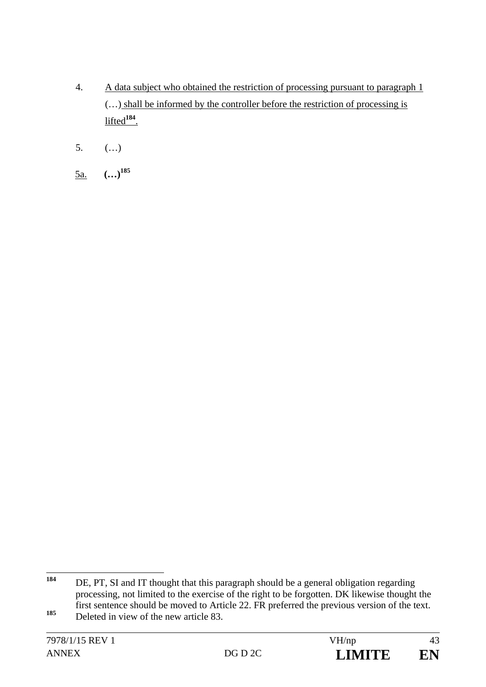- 4. A data subject who obtained the restriction of processing pursuant to paragraph 1 (…) shall be informed by the controller before the restriction of processing is lifted**<sup>184</sup>**.
- 5. (…)
- 5a. **(…)185**

<sup>184</sup> DE, PT, SI and IT thought that this paragraph should be a general obligation regarding processing, not limited to the exercise of the right to be forgotten. DK likewise thought the first sentence should be moved to Article 22. FR preferred the previous version of the text. 185 **Deleted in view of the new article 83.**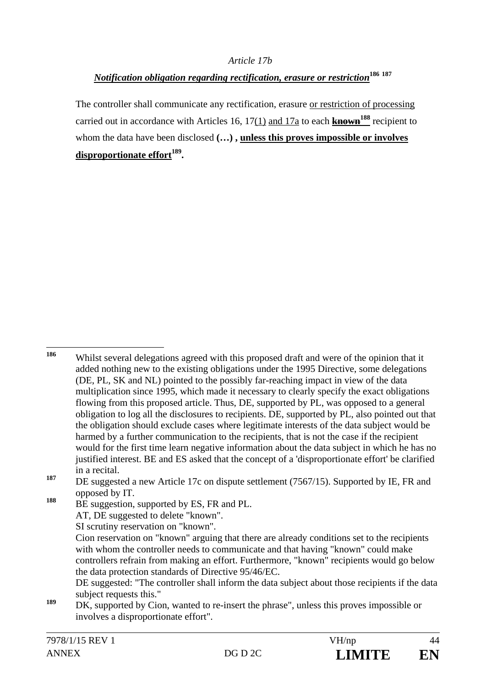#### *Article 17b*

## *Notification obligation regarding rectification, erasure or restriction***<sup>186</sup> <sup>187</sup>**

The controller shall communicate any rectification, erasure or restriction of processing carried out in accordance with Articles 16, 17(1) and 17a to each **known<sup>188</sup>** recipient to whom the data have been disclosed **(…) , unless this proves impossible or involves**  disproportionate effort<sup>189</sup>.

**<sup>188</sup>** BE suggestion, supported by ES, FR and PL.

<sup>186</sup> **<sup>186</sup>** Whilst several delegations agreed with this proposed draft and were of the opinion that it added nothing new to the existing obligations under the 1995 Directive, some delegations (DE, PL, SK and NL) pointed to the possibly far-reaching impact in view of the data multiplication since 1995, which made it necessary to clearly specify the exact obligations flowing from this proposed article. Thus, DE, supported by PL, was opposed to a general obligation to log all the disclosures to recipients. DE, supported by PL, also pointed out that the obligation should exclude cases where legitimate interests of the data subject would be harmed by a further communication to the recipients, that is not the case if the recipient would for the first time learn negative information about the data subject in which he has no justified interest. BE and ES asked that the concept of a 'disproportionate effort' be clarified in a recital.

<sup>&</sup>lt;sup>187</sup> DE suggested a new Article 17c on dispute settlement (7567/15). Supported by IE, FR and opposed by IT.

AT, DE suggested to delete "known".

SI scrutiny reservation on "known".

Cion reservation on "known" arguing that there are already conditions set to the recipients with whom the controller needs to communicate and that having "known" could make controllers refrain from making an effort. Furthermore, "known" recipients would go below the data protection standards of Directive 95/46/EC.

DE suggested: "The controller shall inform the data subject about those recipients if the data subject requests this."

**<sup>189</sup>** DK, supported by Cion, wanted to re-insert the phrase", unless this proves impossible or involves a disproportionate effort".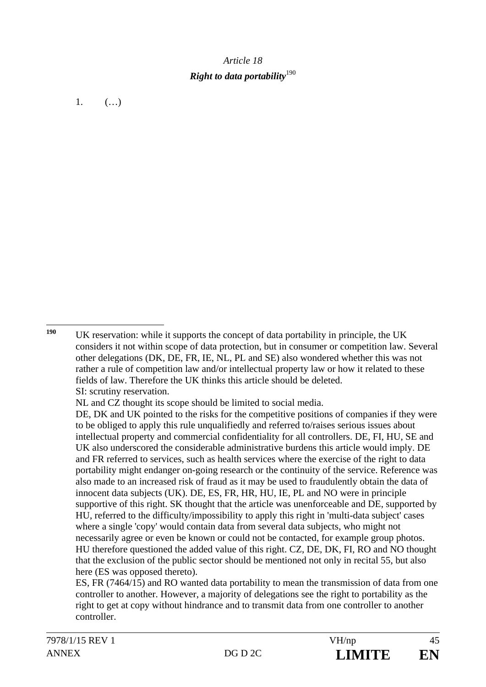# *Article 18 Right to data portability*<sup>190</sup>

1.  $(...)$ 

190 **<sup>190</sup>** UK reservation: while it supports the concept of data portability in principle, the UK considers it not within scope of data protection, but in consumer or competition law. Several other delegations (DK, DE, FR, IE, NL, PL and SE) also wondered whether this was not rather a rule of competition law and/or intellectual property law or how it related to these fields of law. Therefore the UK thinks this article should be deleted. SI: scrutiny reservation.

NL and CZ thought its scope should be limited to social media.

DE, DK and UK pointed to the risks for the competitive positions of companies if they were to be obliged to apply this rule unqualifiedly and referred to/raises serious issues about intellectual property and commercial confidentiality for all controllers. DE, FI, HU, SE and UK also underscored the considerable administrative burdens this article would imply. DE and FR referred to services, such as health services where the exercise of the right to data portability might endanger on-going research or the continuity of the service. Reference was also made to an increased risk of fraud as it may be used to fraudulently obtain the data of innocent data subjects (UK). DE, ES, FR, HR, HU, IE, PL and NO were in principle supportive of this right. SK thought that the article was unenforceable and DE, supported by HU, referred to the difficulty/impossibility to apply this right in 'multi-data subject' cases where a single 'copy' would contain data from several data subjects, who might not necessarily agree or even be known or could not be contacted, for example group photos. HU therefore questioned the added value of this right. CZ, DE, DK, FI, RO and NO thought that the exclusion of the public sector should be mentioned not only in recital 55, but also here (ES was opposed thereto).

 ES, FR (7464/15) and RO wanted data portability to mean the transmission of data from one controller to another. However, a majority of delegations see the right to portability as the right to get at copy without hindrance and to transmit data from one controller to another controller.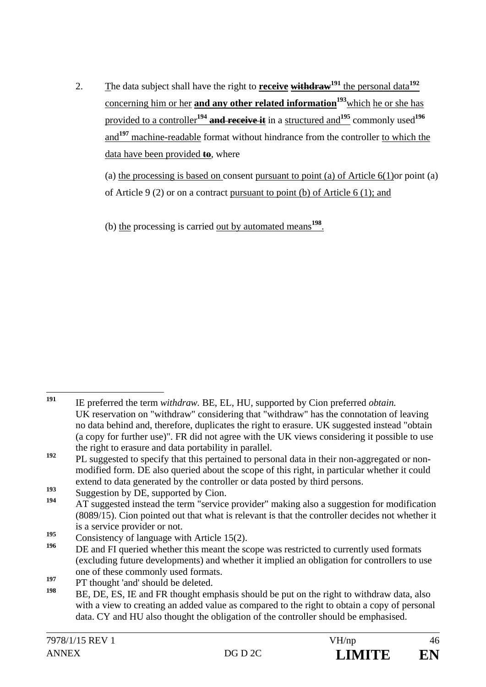2. The data subject shall have the right to **receive withdraw191** the personal data**<sup>192</sup>** concerning him or her **and any other related information**<sup>193</sup>which he or she has provided to a controller**<sup>194</sup> and receive it** in a structured and**<sup>195</sup>** commonly used**<sup>196</sup>** and**<sup>197</sup>** machine-readable format without hindrance from the controller to which the data have been provided **to**, where

(a) the processing is based on consent pursuant to point (a) of Article 6(1)or point (a) of Article 9 (2) or on a contract pursuant to point (b) of Article 6 (1); and

(b) the processing is carried out by automated means**<sup>198</sup>**.

 $191$ **<sup>191</sup>** IE preferred the term *withdraw.* BE, EL, HU, supported by Cion preferred *obtain.*  UK reservation on "withdraw" considering that "withdraw" has the connotation of leaving no data behind and, therefore, duplicates the right to erasure. UK suggested instead "obtain (a copy for further use)". FR did not agree with the UK views considering it possible to use the right to erasure and data portability in parallel.

<sup>&</sup>lt;sup>192</sup> PL suggested to specify that this pertained to personal data in their non-aggregated or nonmodified form. DE also queried about the scope of this right, in particular whether it could extend to data generated by the controller or data posted by third persons.

<sup>&</sup>lt;sup>193</sup> Suggestion by DE, supported by Cion.

**<sup>194</sup>** AT suggested instead the term "service provider" making also a suggestion for modification (8089/15). Cion pointed out that what is relevant is that the controller decides not whether it is a service provider or not.

<sup>&</sup>lt;sup>195</sup> Consistency of language with Article 15(2).

**<sup>196</sup>** DE and FI queried whether this meant the scope was restricted to currently used formats (excluding future developments) and whether it implied an obligation for controllers to use one of these commonly used formats.

<sup>&</sup>lt;sup>197</sup> PT thought 'and' should be deleted.

**<sup>198</sup>** BE, DE, ES, IE and FR thought emphasis should be put on the right to withdraw data, also with a view to creating an added value as compared to the right to obtain a copy of personal data. CY and HU also thought the obligation of the controller should be emphasised.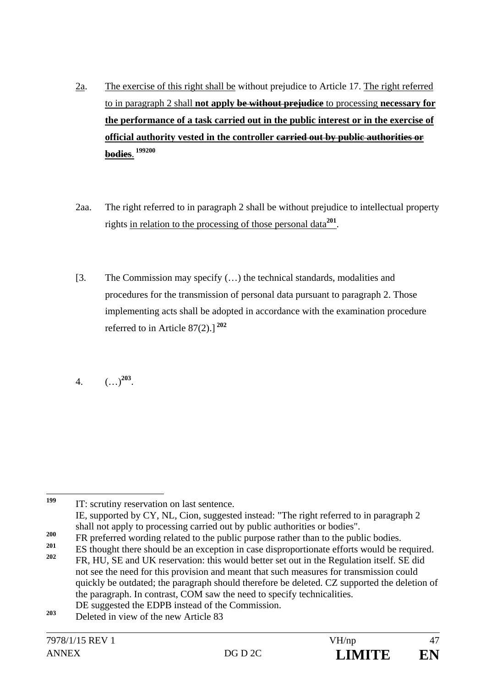- 2a. The exercise of this right shall be without prejudice to Article 17. The right referred to in paragraph 2 shall **not apply be without prejudice** to processing **necessary for the performance of a task carried out in the public interest or in the exercise of official authority vested in the controller carried out by public authorities or bodies**.  **199200**
- 2aa. The right referred to in paragraph 2 shall be without prejudice to intellectual property rights in relation to the processing of those personal data**<sup>201</sup>**.
- [3. The Commission may specify (…) the technical standards, modalities and procedures for the transmission of personal data pursuant to paragraph 2. Those implementing acts shall be adopted in accordance with the examination procedure referred to in Article 87(2).] **<sup>202</sup>**
- 4. (…)**<sup>203</sup>**.

**1T:** scrutiny reservation on last sentence. IE, supported by CY, NL, Cion, suggested instead: "The right referred to in paragraph 2

199

shall not apply to processing carried out by public authorities or bodies".

**<sup>200</sup>** FR preferred wording related to the public purpose rather than to the public bodies.

<sup>&</sup>lt;sup>201</sup> ES thought there should be an exception in case disproportionate efforts would be required.<br><sup>202</sup> ED JUL SE and JUC asseguenting this would better act out in the Basylation itself. SE did **<sup>202</sup>** FR, HU, SE and UK reservation: this would better set out in the Regulation itself. SE did not see the need for this provision and meant that such measures for transmission could quickly be outdated; the paragraph should therefore be deleted. CZ supported the deletion of the paragraph. In contrast, COM saw the need to specify technicalities.

DE suggested the EDPB instead of the Commission.

**<sup>203</sup>** Deleted in view of the new Article 83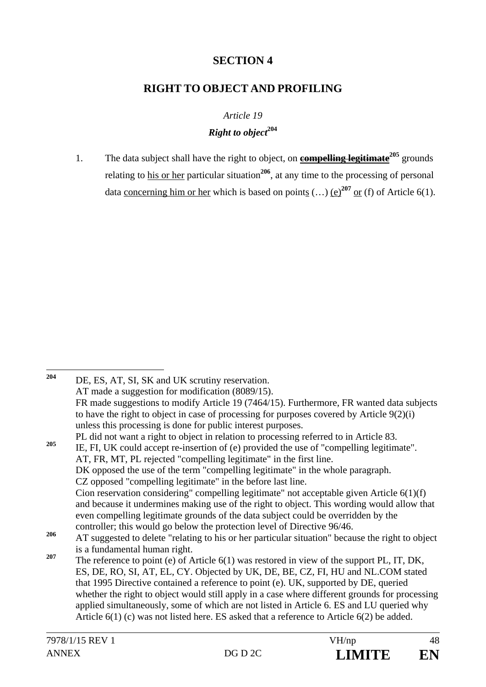## **SECTION 4**

### **RIGHT TO OBJECT AND PROFILING**

*Article 19* 

#### *Right to object***<sup>204</sup>**

1. The data subject shall have the right to object, on **compelling legitimate<sup>205</sup>** grounds relating to his or her particular situation**<sup>206</sup>**, at any time to the processing of personal data concerning him or her which is based on points  $(...)$  (e)<sup>207</sup> or (f) of Article 6(1).

<sup>204</sup> DE, ES, AT, SI, SK and UK scrutiny reservation. AT made a suggestion for modification (8089/15). FR made suggestions to modify Article 19 (7464/15). Furthermore, FR wanted data subjects to have the right to object in case of processing for purposes covered by Article 9(2)(i) unless this processing is done for public interest purposes. PL did not want a right to object in relation to processing referred to in Article 83. **<sup>205</sup>** IE, FI, UK could accept re-insertion of (e) provided the use of "compelling legitimate". AT, FR, MT, PL rejected "compelling legitimate" in the first line. DK opposed the use of the term "compelling legitimate" in the whole paragraph. CZ opposed "compelling legitimate" in the before last line. Cion reservation considering" compelling legitimate" not acceptable given Article 6(1)(f) and because it undermines making use of the right to object. This wording would allow that even compelling legitimate grounds of the data subject could be overridden by the controller; this would go below the protection level of Directive 96/46. <sup>206</sup> AT suggested to delete "relating to his or her particular situation" because the right to object is a fundamental human right. <sup>207</sup> The reference to point (e) of Article 6(1) was restored in view of the support PL, IT, DK, ES, DE, RO, SI, AT, EL, CY. Objected by UK, DE, BE, CZ, FI, HU and NL.COM stated that 1995 Directive contained a reference to point (e). UK, supported by DE, queried whether the right to object would still apply in a case where different grounds for processing applied simultaneously, some of which are not listed in Article 6. ES and LU queried why Article 6(1) (c) was not listed here. ES asked that a reference to Article 6(2) be added.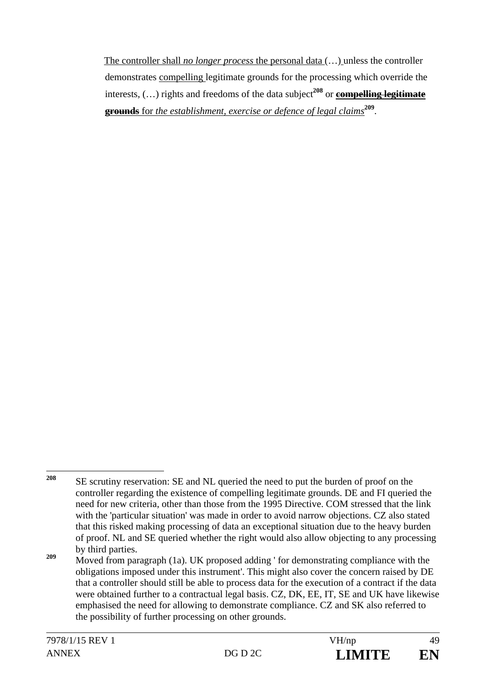The controller shall *no longer process* the personal data (…) unless the controller demonstrates compelling legitimate grounds for the processing which override the interests,  $(...)$  rights and freedoms of the data subject<sup>208</sup> or **compelling legitimate grounds** for *the establishment, exercise or defence of legal claims***<sup>209</sup>**.

<sup>208</sup> **<sup>208</sup>** SE scrutiny reservation: SE and NL queried the need to put the burden of proof on the controller regarding the existence of compelling legitimate grounds. DE and FI queried the need for new criteria, other than those from the 1995 Directive. COM stressed that the link with the 'particular situation' was made in order to avoid narrow objections. CZ also stated that this risked making processing of data an exceptional situation due to the heavy burden of proof. NL and SE queried whether the right would also allow objecting to any processing by third parties.

<sup>&</sup>lt;sup>209</sup> Moved from paragraph (1a). UK proposed adding ' for demonstrating compliance with the obligations imposed under this instrument'. This might also cover the concern raised by DE that a controller should still be able to process data for the execution of a contract if the data were obtained further to a contractual legal basis, CZ, DK, EE, IT, SE and UK have likewise emphasised the need for allowing to demonstrate compliance. CZ and SK also referred to the possibility of further processing on other grounds.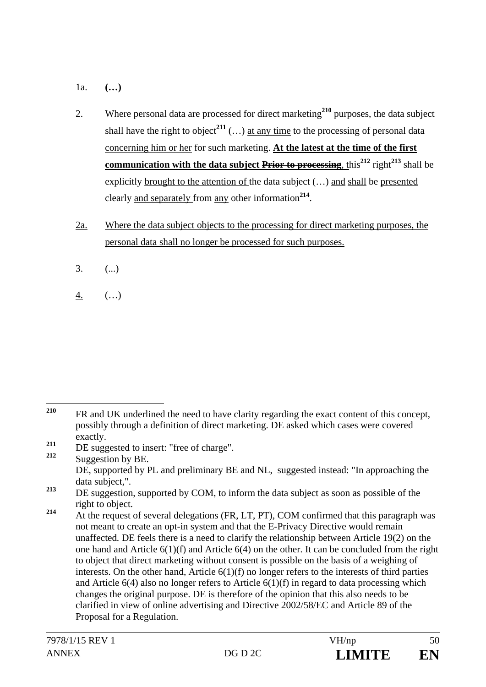- 1a. **(…)**
- 2. Where personal data are processed for direct marketing**<sup>210</sup>** purposes, the data subject shall have the right to object<sup>211</sup>  $(...)$  at any time to the processing of personal data concerning him or her for such marketing. **At the latest at the time of the first communication with the data subject Prior to processing,** this<sup>212</sup> right<sup>213</sup> shall be explicitly brought to the attention of the data subject (…) and shall be presented clearly and separately from any other information**<sup>214</sup>**.
- 2a. Where the data subject objects to the processing for direct marketing purposes, the personal data shall no longer be processed for such purposes.
- $3.$  (...)
- 4. (…)

<sup>210</sup> **<sup>210</sup>** FR and UK underlined the need to have clarity regarding the exact content of this concept, possibly through a definition of direct marketing. DE asked which cases were covered exactly.

 $\frac{211}{212}$  DE suggested to insert: "free of charge".

**<sup>212</sup>** Suggestion by BE. DE, supported by PL and preliminary BE and NL, suggested instead: "In approaching the data subject,".

<sup>&</sup>lt;sup>213</sup> DE suggestion, supported by COM, to inform the data subject as soon as possible of the right to object.

<sup>&</sup>lt;sup>214</sup> At the request of several delegations (FR, LT, PT), COM confirmed that this paragraph was not meant to create an opt-in system and that the E-Privacy Directive would remain unaffected*.* DE feels there is a need to clarify the relationship between Article 19(2) on the one hand and Article 6(1)(f) and Article 6(4) on the other. It can be concluded from the right to object that direct marketing without consent is possible on the basis of a weighing of interests. On the other hand, Article 6(1)(f) no longer refers to the interests of third parties and Article  $6(4)$  also no longer refers to Article  $6(1)(f)$  in regard to data processing which changes the original purpose. DE is therefore of the opinion that this also needs to be clarified in view of online advertising and Directive 2002/58/EC and Article 89 of the Proposal for a Regulation.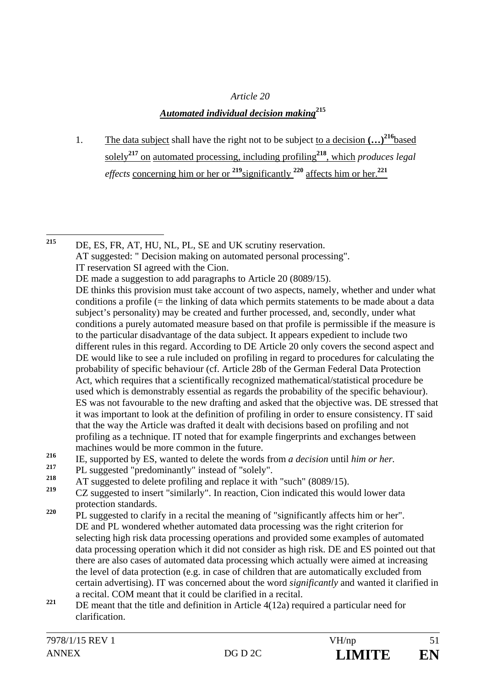# *Article 20*

- *Automated individual decision making***<sup>215</sup>**
- 1. The data subject shall have the right not to be subject to a decision  $(...)^{216}$ based solely**<sup>217</sup>** on automated processing, including profiling**<sup>218</sup>**, which *produces legal effects* concerning him or her or **<sup>219</sup>**significantly **<sup>220</sup>** affects him or her.**<sup>221</sup>**

215 DE, ES, FR, AT, HU, NL, PL, SE and UK scrutiny reservation. AT suggested: " Decision making on automated personal processing". IT reservation SI agreed with the Cion. DE made a suggestion to add paragraphs to Article 20 (8089/15). DE thinks this provision must take account of two aspects, namely, whether and under what conditions a profile (= the linking of data which permits statements to be made about a data subject's personality) may be created and further processed, and, secondly, under what conditions a purely automated measure based on that profile is permissible if the measure is to the particular disadvantage of the data subject. It appears expedient to include two different rules in this regard. According to DE Article 20 only covers the second aspect and DE would like to see a rule included on profiling in regard to procedures for calculating the probability of specific behaviour (cf. Article 28b of the German Federal Data Protection Act, which requires that a scientifically recognized mathematical/statistical procedure be used which is demonstrably essential as regards the probability of the specific behaviour). ES was not favourable to the new drafting and asked that the objective was. DE stressed that it was important to look at the definition of profiling in order to ensure consistency. IT said that the way the Article was drafted it dealt with decisions based on profiling and not profiling as a technique. IT noted that for example fingerprints and exchanges between machines would be more common in the future.

- <sup>216</sup> IE, supported by ES, wanted to delete the words from *a decision* until *him or her.*<br><sup>217</sup> PL supported "and only instead of "salaky"
- <sup>217</sup> PL suggested "predominantly" instead of "solely".
- <sup>218</sup> AT suggested to delete profiling and replace it with "such" (8089/15).
- **<sup>219</sup>** CZ suggested to insert "similarly". In reaction, Cion indicated this would lower data protection standards.
- <sup>220</sup> PL suggested to clarify in a recital the meaning of "significantly affects him or her". DE and PL wondered whether automated data processing was the right criterion for selecting high risk data processing operations and provided some examples of automated data processing operation which it did not consider as high risk. DE and ES pointed out that there are also cases of automated data processing which actually were aimed at increasing the level of data protection (e.g. in case of children that are automatically excluded from certain advertising). IT was concerned about the word *significantly* and wanted it clarified in a recital. COM meant that it could be clarified in a recital.
- <sup>221</sup> DE meant that the title and definition in Article 4(12a) required a particular need for clarification.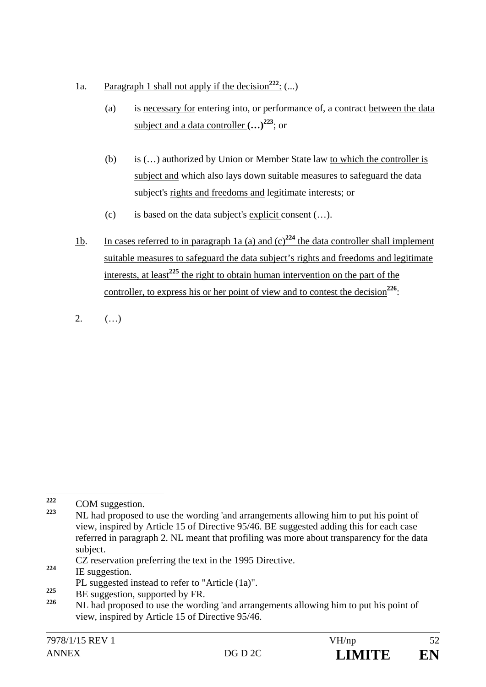- 1a. Paragraph 1 shall not apply if the decision<sup>222</sup>:  $(...)$ 
	- (a) is necessary for entering into, or performance of, a contract between the data subject and a data controller  $(...)^{223}$ ; or
	- (b) is (…) authorized by Union or Member State law to which the controller is subject and which also lays down suitable measures to safeguard the data subject's rights and freedoms and legitimate interests; or
	- (c) is based on the data subject's explicit consent (…).
- 1b. In cases referred to in paragraph 1a (a) and  $(c)^{224}$  the data controller shall implement suitable measures to safeguard the data subject's rights and freedoms and legitimate interests, at least**<sup>225</sup>** the right to obtain human intervention on the part of the controller, to express his or her point of view and to contest the decision<sup>226</sup>:
- 2.  $( ...)$

- CZ reservation preferring the text in the 1995 Directive. **<sup>224</sup>** IE suggestion.
- PL suggested instead to refer to "Article (1a)".<br>
PE management of the FD.
- <sup>225</sup> BE suggestion, supported by FR.

<sup>222</sup>  $\frac{222}{223}$  COM suggestion.

**<sup>223</sup>** NL had proposed to use the wording 'and arrangements allowing him to put his point of view, inspired by Article 15 of Directive 95/46. BE suggested adding this for each case referred in paragraph 2. NL meant that profiling was more about transparency for the data subject.

**<sup>226</sup>** NL had proposed to use the wording 'and arrangements allowing him to put his point of view, inspired by Article 15 of Directive 95/46.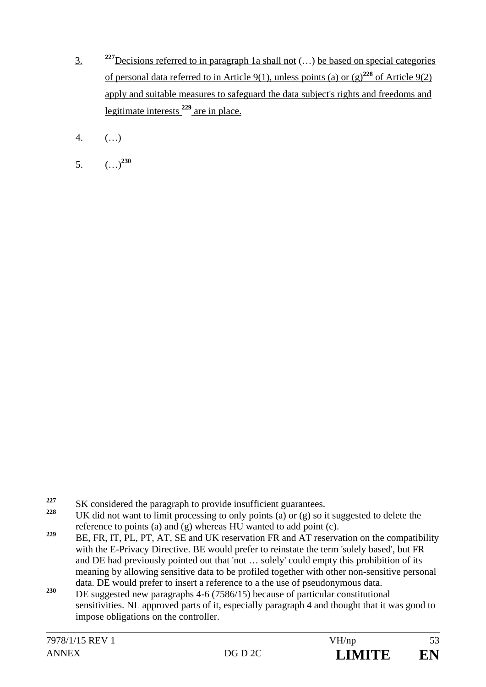- 3. **<sup>227</sup>**Decisions referred to in paragraph 1a shall not (…) be based on special categories of personal data referred to in Article 9(1), unless points (a) or  $(g)^{228}$  of Article 9(2) apply and suitable measures to safeguard the data subject's rights and freedoms and legitimate interests **<sup>229</sup>** are in place.
- 4. (…)
- 5. (…)**<sup>230</sup>**

<sup>227</sup> <sup>227</sup> SK considered the paragraph to provide insufficient guarantees.

**<sup>228</sup>** UK did not want to limit processing to only points (a) or (g) so it suggested to delete the reference to points (a) and (g) whereas HU wanted to add point (c).

<sup>&</sup>lt;sup>229</sup> BE, FR, IT, PL, PT, AT, SE and UK reservation FR and AT reservation on the compatibility with the E-Privacy Directive. BE would prefer to reinstate the term 'solely based', but FR and DE had previously pointed out that 'not … solely' could empty this prohibition of its meaning by allowing sensitive data to be profiled together with other non-sensitive personal data. DE would prefer to insert a reference to a the use of pseudonymous data.

<sup>&</sup>lt;sup>230</sup> DE suggested new paragraphs 4-6 (7586/15) because of particular constitutional sensitivities. NL approved parts of it, especially paragraph 4 and thought that it was good to impose obligations on the controller.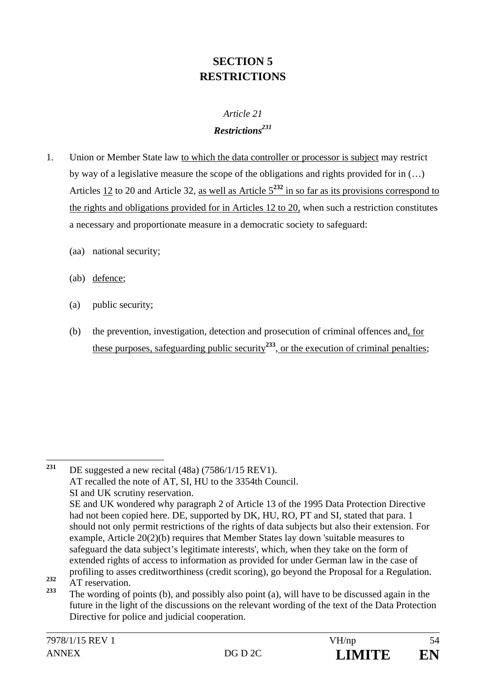# **SECTION 5 RESTRICTIONS**

# *Article 21 Restrictions231*

- 1. Union or Member State law to which the data controller or processor is subject may restrict by way of a legislative measure the scope of the obligations and rights provided for in (…) Articles 12 to 20 and Article 32, as well as Article 5**<sup>232</sup>** in so far as its provisions correspond to the rights and obligations provided for in Articles 12 to 20, when such a restriction constitutes a necessary and proportionate measure in a democratic society to safeguard:
	- (aa) national security;
	- (ab) defence;
	- (a) public security;
	- (b) the prevention, investigation, detection and prosecution of criminal offences and, for these purposes, safeguarding public security**<sup>233</sup>**, or the execution of criminal penalties;

<sup>231</sup> **<sup>231</sup>** DE suggested a new recital (48a) (7586/1/15 REV1). AT recalled the note of AT, SI, HU to the 3354th Council. SI and UK scrutiny reservation. SE and UK wondered why paragraph 2 of Article 13 of the 1995 Data Protection Directive had not been copied here. DE, supported by DK, HU, RO, PT and SI, stated that para. 1 should not only permit restrictions of the rights of data subjects but also their extension. For example, Article 20(2)(b) requires that Member States lay down 'suitable measures to safeguard the data subject's legitimate interests', which, when they take on the form of extended rights of access to information as provided for under German law in the case of profiling to asses creditworthiness (credit scoring), go beyond the Proposal for a Regulation.

<sup>&</sup>lt;sup>232</sup> AT reservation.

**<sup>233</sup>** The wording of points (b), and possibly also point (a), will have to be discussed again in the future in the light of the discussions on the relevant wording of the text of the Data Protection Directive for police and judicial cooperation.